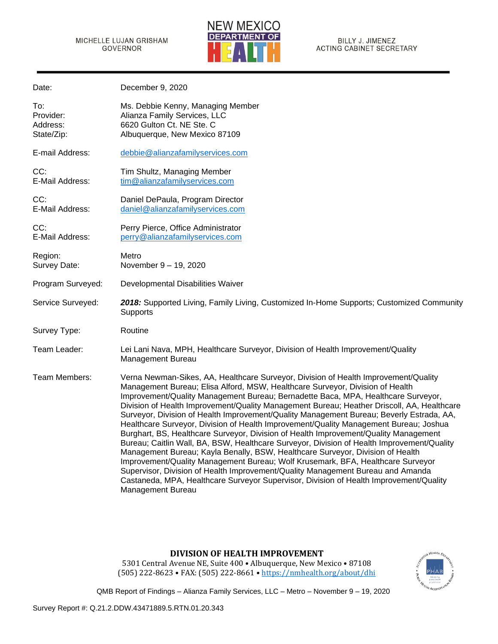Date: December 9, 2020



| To:<br>Provider:<br>Address:<br>State/Zip: | Ms. Debbie Kenny, Managing Member<br>Alianza Family Services, LLC<br>6620 Gulton Ct. NE Ste. C<br>Albuquerque, New Mexico 87109                                                                                                                                                                                                                                                                                                                                                                                                                                                                                                                                                                                                                                                                                                                                                                                                                                                                                                                                                                           |
|--------------------------------------------|-----------------------------------------------------------------------------------------------------------------------------------------------------------------------------------------------------------------------------------------------------------------------------------------------------------------------------------------------------------------------------------------------------------------------------------------------------------------------------------------------------------------------------------------------------------------------------------------------------------------------------------------------------------------------------------------------------------------------------------------------------------------------------------------------------------------------------------------------------------------------------------------------------------------------------------------------------------------------------------------------------------------------------------------------------------------------------------------------------------|
| E-mail Address:                            | debbie@alianzafamilyservices.com                                                                                                                                                                                                                                                                                                                                                                                                                                                                                                                                                                                                                                                                                                                                                                                                                                                                                                                                                                                                                                                                          |
| CC:<br>E-Mail Address:                     | Tim Shultz, Managing Member<br>tim@alianzafamilyservices.com                                                                                                                                                                                                                                                                                                                                                                                                                                                                                                                                                                                                                                                                                                                                                                                                                                                                                                                                                                                                                                              |
| CC:<br>E-Mail Address:                     | Daniel DePaula, Program Director<br>daniel@alianzafamilyservices.com                                                                                                                                                                                                                                                                                                                                                                                                                                                                                                                                                                                                                                                                                                                                                                                                                                                                                                                                                                                                                                      |
| CC:<br>E-Mail Address:                     | Perry Pierce, Office Administrator<br>perry@alianzafamilyservices.com                                                                                                                                                                                                                                                                                                                                                                                                                                                                                                                                                                                                                                                                                                                                                                                                                                                                                                                                                                                                                                     |
| Region:<br>Survey Date:                    | Metro<br>November 9 - 19, 2020                                                                                                                                                                                                                                                                                                                                                                                                                                                                                                                                                                                                                                                                                                                                                                                                                                                                                                                                                                                                                                                                            |
| Program Surveyed:                          | Developmental Disabilities Waiver                                                                                                                                                                                                                                                                                                                                                                                                                                                                                                                                                                                                                                                                                                                                                                                                                                                                                                                                                                                                                                                                         |
| Service Surveyed:                          | 2018: Supported Living, Family Living, Customized In-Home Supports; Customized Community<br>Supports                                                                                                                                                                                                                                                                                                                                                                                                                                                                                                                                                                                                                                                                                                                                                                                                                                                                                                                                                                                                      |
| Survey Type:                               | Routine                                                                                                                                                                                                                                                                                                                                                                                                                                                                                                                                                                                                                                                                                                                                                                                                                                                                                                                                                                                                                                                                                                   |
| Team Leader:                               | Lei Lani Nava, MPH, Healthcare Surveyor, Division of Health Improvement/Quality<br>Management Bureau                                                                                                                                                                                                                                                                                                                                                                                                                                                                                                                                                                                                                                                                                                                                                                                                                                                                                                                                                                                                      |
| Team Members:                              | Verna Newman-Sikes, AA, Healthcare Surveyor, Division of Health Improvement/Quality<br>Management Bureau; Elisa Alford, MSW, Healthcare Surveyor, Division of Health<br>Improvement/Quality Management Bureau; Bernadette Baca, MPA, Healthcare Surveyor,<br>Division of Health Improvement/Quality Management Bureau; Heather Driscoll, AA, Healthcare<br>Surveyor, Division of Health Improvement/Quality Management Bureau; Beverly Estrada, AA,<br>Healthcare Surveyor, Division of Health Improvement/Quality Management Bureau; Joshua<br>Burghart, BS, Healthcare Surveyor, Division of Health Improvement/Quality Management<br>Bureau; Caitlin Wall, BA, BSW, Healthcare Surveyor, Division of Health Improvement/Quality<br>Management Bureau; Kayla Benally, BSW, Healthcare Surveyor, Division of Health<br>Improvement/Quality Management Bureau; Wolf Krusemark, BFA, Healthcare Surveyor<br>Supervisor, Division of Health Improvement/Quality Management Bureau and Amanda<br>Castaneda, MPA, Healthcare Surveyor Supervisor, Division of Health Improvement/Quality<br>Management Bureau |

## **DIVISION OF HEALTH IMPROVEMENT**

5301 Central Avenue NE, Suite 400 • Albuquerque, New Mexico • 87108 (505) 222-8623 • FAX: (505) 222-8661 • <https://nmhealth.org/about/dhi>

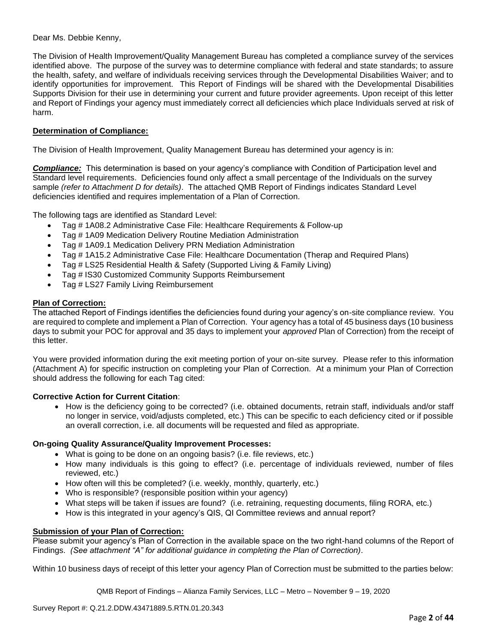### Dear Ms. Debbie Kenny,

The Division of Health Improvement/Quality Management Bureau has completed a compliance survey of the services identified above. The purpose of the survey was to determine compliance with federal and state standards; to assure the health, safety, and welfare of individuals receiving services through the Developmental Disabilities Waiver; and to identify opportunities for improvement. This Report of Findings will be shared with the Developmental Disabilities Supports Division for their use in determining your current and future provider agreements. Upon receipt of this letter and Report of Findings your agency must immediately correct all deficiencies which place Individuals served at risk of harm.

## **Determination of Compliance:**

The Division of Health Improvement, Quality Management Bureau has determined your agency is in:

*Compliance:* This determination is based on your agency's compliance with Condition of Participation level and Standard level requirements. Deficiencies found only affect a small percentage of the Individuals on the survey sample *(refer to Attachment D for details)*. The attached QMB Report of Findings indicates Standard Level deficiencies identified and requires implementation of a Plan of Correction.

The following tags are identified as Standard Level:

- Tag # 1A08.2 Administrative Case File: Healthcare Requirements & Follow-up
- Tag # 1A09 Medication Delivery Routine Mediation Administration
- Tag # 1A09.1 Medication Delivery PRN Mediation Administration
- Tag # 1A15.2 Administrative Case File: Healthcare Documentation (Therap and Required Plans)
- Tag # LS25 Residential Health & Safety (Supported Living & Family Living)
- Tag # IS30 Customized Community Supports Reimbursement
- Tag # LS27 Family Living Reimbursement

### **Plan of Correction:**

The attached Report of Findings identifies the deficiencies found during your agency's on-site compliance review. You are required to complete and implement a Plan of Correction. Your agency has a total of 45 business days (10 business days to submit your POC for approval and 35 days to implement your *approved* Plan of Correction) from the receipt of this letter.

You were provided information during the exit meeting portion of your on-site survey. Please refer to this information (Attachment A) for specific instruction on completing your Plan of Correction. At a minimum your Plan of Correction should address the following for each Tag cited:

### **Corrective Action for Current Citation**:

• How is the deficiency going to be corrected? (i.e. obtained documents, retrain staff, individuals and/or staff no longer in service, void/adjusts completed, etc.) This can be specific to each deficiency cited or if possible an overall correction, i.e. all documents will be requested and filed as appropriate.

### **On-going Quality Assurance/Quality Improvement Processes:**

- What is going to be done on an ongoing basis? (i.e. file reviews, etc.)
- How many individuals is this going to effect? (i.e. percentage of individuals reviewed, number of files reviewed, etc.)
- How often will this be completed? (i.e. weekly, monthly, quarterly, etc.)
- Who is responsible? (responsible position within your agency)
- What steps will be taken if issues are found? (i.e. retraining, requesting documents, filing RORA, etc.)
- How is this integrated in your agency's QIS, QI Committee reviews and annual report?

### **Submission of your Plan of Correction:**

Please submit your agency's Plan of Correction in the available space on the two right-hand columns of the Report of Findings. *(See attachment "A" for additional guidance in completing the Plan of Correction)*.

Within 10 business days of receipt of this letter your agency Plan of Correction must be submitted to the parties below: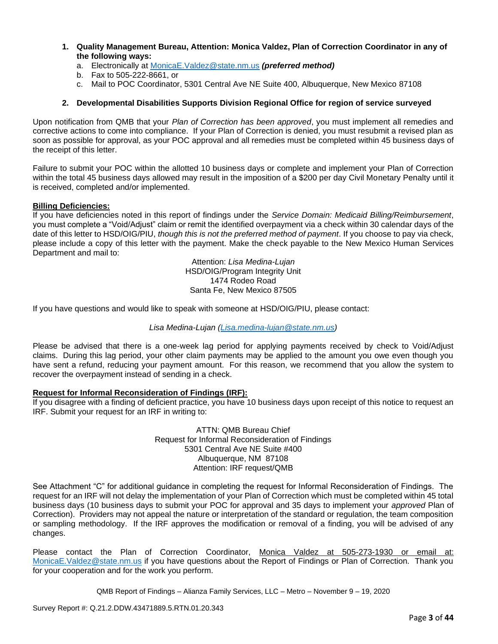- **1. Quality Management Bureau, Attention: Monica Valdez, Plan of Correction Coordinator in any of the following ways:**
	- a. Electronically at [MonicaE.Valdez@state.nm.us](mailto:MonicaE.Valdez@state.nm.us) *(preferred method)*
	- b. Fax to 505-222-8661, or
	- c. Mail to POC Coordinator, 5301 Central Ave NE Suite 400, Albuquerque, New Mexico 87108

## **2. Developmental Disabilities Supports Division Regional Office for region of service surveyed**

Upon notification from QMB that your *Plan of Correction has been approved*, you must implement all remedies and corrective actions to come into compliance. If your Plan of Correction is denied, you must resubmit a revised plan as soon as possible for approval, as your POC approval and all remedies must be completed within 45 business days of the receipt of this letter.

Failure to submit your POC within the allotted 10 business days or complete and implement your Plan of Correction within the total 45 business days allowed may result in the imposition of a \$200 per day Civil Monetary Penalty until it is received, completed and/or implemented.

### **Billing Deficiencies:**

If you have deficiencies noted in this report of findings under the *Service Domain: Medicaid Billing/Reimbursement*, you must complete a "Void/Adjust" claim or remit the identified overpayment via a check within 30 calendar days of the date of this letter to HSD/OIG/PIU, *though this is not the preferred method of payment*. If you choose to pay via check, please include a copy of this letter with the payment. Make the check payable to the New Mexico Human Services Department and mail to:

> Attention: *Lisa Medina-Lujan* HSD/OIG/Program Integrity Unit 1474 Rodeo Road Santa Fe, New Mexico 87505

If you have questions and would like to speak with someone at HSD/OIG/PIU, please contact:

*Lisa Medina-Lujan [\(Lisa.medina-lujan@state.nm.us\)](mailto:Lisa.medina-lujan@state.nm.us)*

Please be advised that there is a one-week lag period for applying payments received by check to Void/Adjust claims. During this lag period, your other claim payments may be applied to the amount you owe even though you have sent a refund, reducing your payment amount. For this reason, we recommend that you allow the system to recover the overpayment instead of sending in a check.

### **Request for Informal Reconsideration of Findings (IRF):**

If you disagree with a finding of deficient practice, you have 10 business days upon receipt of this notice to request an IRF. Submit your request for an IRF in writing to:

> ATTN: QMB Bureau Chief Request for Informal Reconsideration of Findings 5301 Central Ave NE Suite #400 Albuquerque, NM 87108 Attention: IRF request/QMB

See Attachment "C" for additional guidance in completing the request for Informal Reconsideration of Findings. The request for an IRF will not delay the implementation of your Plan of Correction which must be completed within 45 total business days (10 business days to submit your POC for approval and 35 days to implement your *approved* Plan of Correction). Providers may not appeal the nature or interpretation of the standard or regulation, the team composition or sampling methodology. If the IRF approves the modification or removal of a finding, you will be advised of any changes.

Please contact the Plan of Correction Coordinator, Monica Valdez at 505-273-1930 or email at: [MonicaE.Valdez@state.nm.us](mailto:MonicaE.Valdez@state.nm.us) if you have questions about the Report of Findings or Plan of Correction. Thank you for your cooperation and for the work you perform.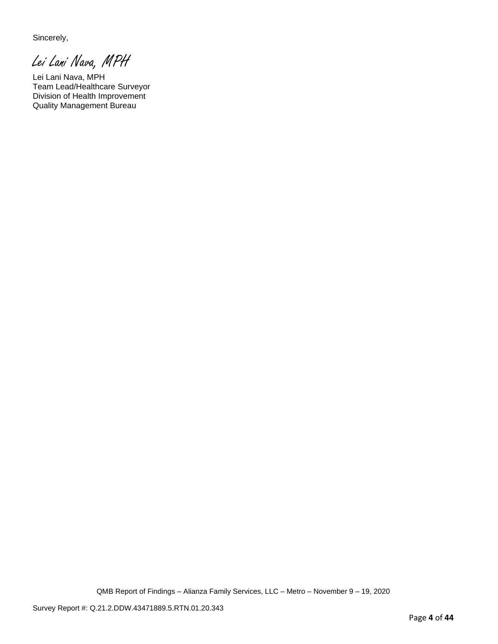Sincerely,

Lei Lani Nava, MPH

Lei Lani Nava, MPH Team Lead/Healthcare Surveyor Division of Health Improvement Quality Management Bureau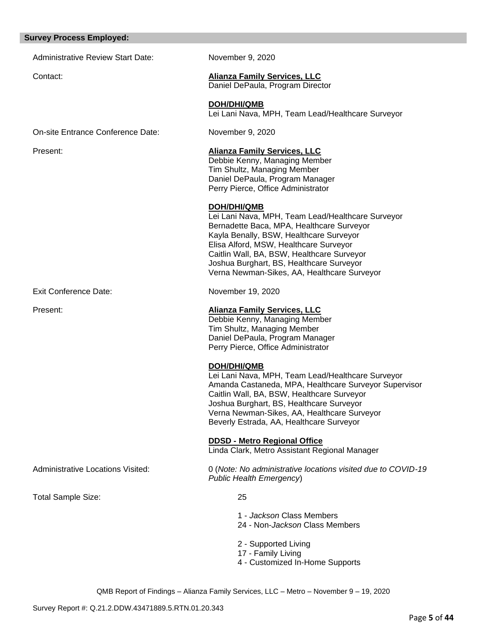#### **Survey Process Employed:**

Administrative Review Start Date: November 9, 2020

## Contact: **Alianza Family Services, LLC**

Daniel DePaula, Program Director

**DOH/DHI/QMB** Lei Lani Nava, MPH, Team Lead/Healthcare Surveyor

On-site Entrance Conference Date: November 9, 2020

Exit Conference Date: November 19, 2020

## Present: **Alianza Family Services, LLC**

Debbie Kenny, Managing Member Tim Shultz, Managing Member Daniel DePaula, Program Manager Perry Pierce, Office Administrator

## **DOH/DHI/QMB**

Lei Lani Nava, MPH, Team Lead/Healthcare Surveyor Bernadette Baca, MPA, Healthcare Surveyor Kayla Benally, BSW, Healthcare Surveyor Elisa Alford, MSW, Healthcare Surveyor Caitlin Wall, BA, BSW, Healthcare Surveyor Joshua Burghart, BS, Healthcare Surveyor Verna Newman-Sikes, AA, Healthcare Surveyor

## Present: **Alianza Family Services, LLC**

Debbie Kenny, Managing Member Tim Shultz, Managing Member Daniel DePaula, Program Manager Perry Pierce, Office Administrator

## **DOH/DHI/QMB**

Lei Lani Nava, MPH, Team Lead/Healthcare Surveyor Amanda Castaneda, MPA, Healthcare Surveyor Supervisor Caitlin Wall, BA, BSW, Healthcare Surveyor Joshua Burghart, BS, Healthcare Surveyor Verna Newman-Sikes, AA, Healthcare Surveyor Beverly Estrada, AA, Healthcare Surveyor

**DDSD - Metro Regional Office** 

Linda Clark, Metro Assistant Regional Manager

Administrative Locations Visited: 0 (*Note: No administrative locations visited due to COVID-19 Public Health Emergency*)

Total Sample Size: 25

1 - *Jackson* Class Members 24 - Non-*Jackson* Class Members

- 2 Supported Living
- 17 Family Living
- 4 Customized In-Home Supports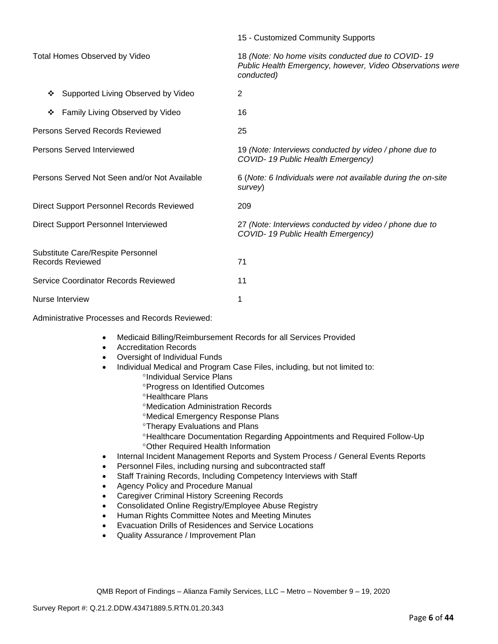|                                                              | 15 - Customized Community Supports                                                                                            |
|--------------------------------------------------------------|-------------------------------------------------------------------------------------------------------------------------------|
| Total Homes Observed by Video                                | 18 (Note: No home visits conducted due to COVID-19<br>Public Health Emergency, however, Video Observations were<br>conducted) |
| Supported Living Observed by Video<br>❖                      | $\overline{2}$                                                                                                                |
| Family Living Observed by Video<br>❖                         | 16                                                                                                                            |
| Persons Served Records Reviewed                              | 25                                                                                                                            |
| Persons Served Interviewed                                   | 19 (Note: Interviews conducted by video / phone due to<br>COVID-19 Public Health Emergency)                                   |
| Persons Served Not Seen and/or Not Available                 | 6 (Note: 6 Individuals were not available during the on-site<br>survey)                                                       |
| <b>Direct Support Personnel Records Reviewed</b>             | 209                                                                                                                           |
| Direct Support Personnel Interviewed                         | 27 (Note: Interviews conducted by video / phone due to<br>COVID-19 Public Health Emergency)                                   |
| Substitute Care/Respite Personnel<br><b>Records Reviewed</b> | 71                                                                                                                            |
| Service Coordinator Records Reviewed                         | 11                                                                                                                            |
| Nurse Interview                                              | 1                                                                                                                             |

Administrative Processes and Records Reviewed:

- Medicaid Billing/Reimbursement Records for all Services Provided
- Accreditation Records
- Oversight of Individual Funds
- Individual Medical and Program Case Files, including, but not limited to:
	- °Individual Service Plans
	- Progress on Identified Outcomes
	- <sup>o</sup>Healthcare Plans
	- Medication Administration Records
	- Medical Emergency Response Plans
	- Therapy Evaluations and Plans
	- Healthcare Documentation Regarding Appointments and Required Follow-Up Other Required Health Information
- Internal Incident Management Reports and System Process / General Events Reports
- Personnel Files, including nursing and subcontracted staff
- Staff Training Records, Including Competency Interviews with Staff
- Agency Policy and Procedure Manual
- Caregiver Criminal History Screening Records
- Consolidated Online Registry/Employee Abuse Registry
- Human Rights Committee Notes and Meeting Minutes
- Evacuation Drills of Residences and Service Locations
- Quality Assurance / Improvement Plan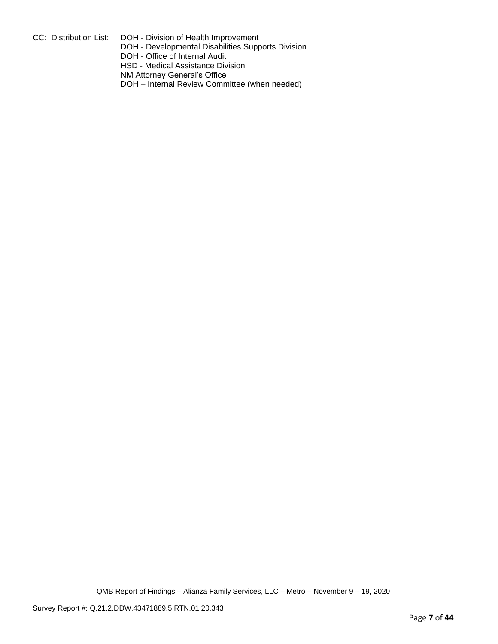- CC: Distribution List: DOH Division of Health Improvement
	- DOH Developmental Disabilities Supports Division
	- DOH Office of Internal Audit
	- HSD Medical Assistance Division
	- NM Attorney General's Office
	- DOH Internal Review Committee (when needed)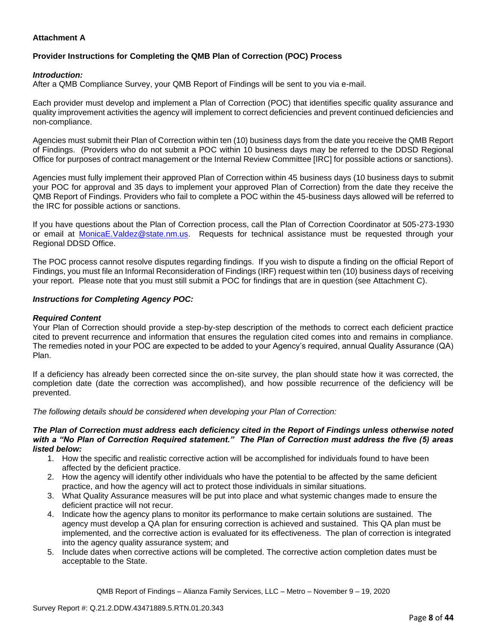## **Attachment A**

## **Provider Instructions for Completing the QMB Plan of Correction (POC) Process**

#### *Introduction:*

After a QMB Compliance Survey, your QMB Report of Findings will be sent to you via e-mail.

Each provider must develop and implement a Plan of Correction (POC) that identifies specific quality assurance and quality improvement activities the agency will implement to correct deficiencies and prevent continued deficiencies and non-compliance.

Agencies must submit their Plan of Correction within ten (10) business days from the date you receive the QMB Report of Findings. (Providers who do not submit a POC within 10 business days may be referred to the DDSD Regional Office for purposes of contract management or the Internal Review Committee [IRC] for possible actions or sanctions).

Agencies must fully implement their approved Plan of Correction within 45 business days (10 business days to submit your POC for approval and 35 days to implement your approved Plan of Correction) from the date they receive the QMB Report of Findings. Providers who fail to complete a POC within the 45-business days allowed will be referred to the IRC for possible actions or sanctions.

If you have questions about the Plan of Correction process, call the Plan of Correction Coordinator at 505-273-1930 or email at [MonicaE.Valdez@state.nm.us.](mailto:MonicaE.Valdez@state.nm.us) Requests for technical assistance must be requested through your Regional DDSD Office.

The POC process cannot resolve disputes regarding findings. If you wish to dispute a finding on the official Report of Findings, you must file an Informal Reconsideration of Findings (IRF) request within ten (10) business days of receiving your report. Please note that you must still submit a POC for findings that are in question (see Attachment C).

#### *Instructions for Completing Agency POC:*

#### *Required Content*

Your Plan of Correction should provide a step-by-step description of the methods to correct each deficient practice cited to prevent recurrence and information that ensures the regulation cited comes into and remains in compliance. The remedies noted in your POC are expected to be added to your Agency's required, annual Quality Assurance (QA) Plan.

If a deficiency has already been corrected since the on-site survey, the plan should state how it was corrected, the completion date (date the correction was accomplished), and how possible recurrence of the deficiency will be prevented.

*The following details should be considered when developing your Plan of Correction:*

#### *The Plan of Correction must address each deficiency cited in the Report of Findings unless otherwise noted with a "No Plan of Correction Required statement." The Plan of Correction must address the five (5) areas listed below:*

- 1. How the specific and realistic corrective action will be accomplished for individuals found to have been affected by the deficient practice.
- 2. How the agency will identify other individuals who have the potential to be affected by the same deficient practice, and how the agency will act to protect those individuals in similar situations.
- 3. What Quality Assurance measures will be put into place and what systemic changes made to ensure the deficient practice will not recur.
- 4. Indicate how the agency plans to monitor its performance to make certain solutions are sustained. The agency must develop a QA plan for ensuring correction is achieved and sustained. This QA plan must be implemented, and the corrective action is evaluated for its effectiveness. The plan of correction is integrated into the agency quality assurance system; and
- 5. Include dates when corrective actions will be completed. The corrective action completion dates must be acceptable to the State.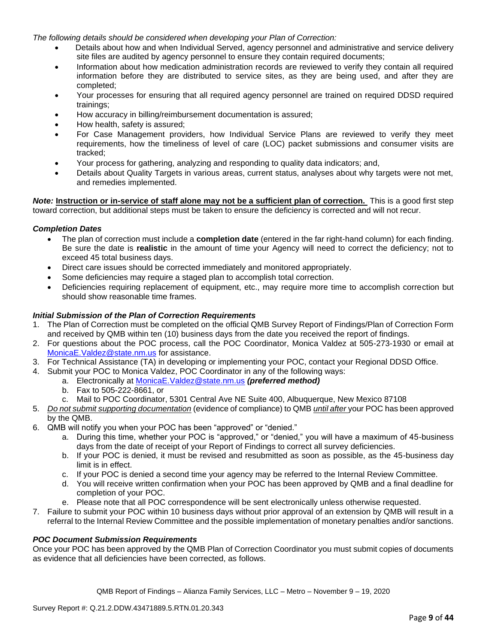*The following details should be considered when developing your Plan of Correction:*

- Details about how and when Individual Served, agency personnel and administrative and service delivery site files are audited by agency personnel to ensure they contain required documents;
- Information about how medication administration records are reviewed to verify they contain all required information before they are distributed to service sites, as they are being used, and after they are completed;
- Your processes for ensuring that all required agency personnel are trained on required DDSD required trainings;
- How accuracy in billing/reimbursement documentation is assured;
- How health, safety is assured;
- For Case Management providers, how Individual Service Plans are reviewed to verify they meet requirements, how the timeliness of level of care (LOC) packet submissions and consumer visits are tracked;
- Your process for gathering, analyzing and responding to quality data indicators; and,
- Details about Quality Targets in various areas, current status, analyses about why targets were not met, and remedies implemented.

*Note:* **Instruction or in-service of staff alone may not be a sufficient plan of correction.** This is a good first step toward correction, but additional steps must be taken to ensure the deficiency is corrected and will not recur.

### *Completion Dates*

- The plan of correction must include a **completion date** (entered in the far right-hand column) for each finding. Be sure the date is **realistic** in the amount of time your Agency will need to correct the deficiency; not to exceed 45 total business days.
- Direct care issues should be corrected immediately and monitored appropriately.
- Some deficiencies may require a staged plan to accomplish total correction.
- Deficiencies requiring replacement of equipment, etc., may require more time to accomplish correction but should show reasonable time frames.

## *Initial Submission of the Plan of Correction Requirements*

- 1. The Plan of Correction must be completed on the official QMB Survey Report of Findings/Plan of Correction Form and received by QMB within ten (10) business days from the date you received the report of findings.
- 2. For questions about the POC process, call the POC Coordinator, Monica Valdez at 505-273-1930 or email at [MonicaE.Valdez@state.nm.us](mailto:MonicaE.Valdez@state.nm.us) for assistance.
- 3. For Technical Assistance (TA) in developing or implementing your POC, contact your Regional DDSD Office.
- 4. Submit your POC to Monica Valdez, POC Coordinator in any of the following ways:
	- a. Electronically at [MonicaE.Valdez@state.nm.us](mailto:MonicaE.Valdez@state.nm.us) *(preferred method)*
	- b. Fax to 505-222-8661, or
	- c. Mail to POC Coordinator, 5301 Central Ave NE Suite 400, Albuquerque, New Mexico 87108
- 5. *Do not submit supporting documentation* (evidence of compliance) to QMB *until after* your POC has been approved by the QMB.
- 6. QMB will notify you when your POC has been "approved" or "denied."
	- a. During this time, whether your POC is "approved," or "denied," you will have a maximum of 45-business days from the date of receipt of your Report of Findings to correct all survey deficiencies.
	- b. If your POC is denied, it must be revised and resubmitted as soon as possible, as the 45-business day limit is in effect.
	- c. If your POC is denied a second time your agency may be referred to the Internal Review Committee.
	- d. You will receive written confirmation when your POC has been approved by QMB and a final deadline for completion of your POC.
	- e. Please note that all POC correspondence will be sent electronically unless otherwise requested.
- 7. Failure to submit your POC within 10 business days without prior approval of an extension by QMB will result in a referral to the Internal Review Committee and the possible implementation of monetary penalties and/or sanctions.

### *POC Document Submission Requirements*

Once your POC has been approved by the QMB Plan of Correction Coordinator you must submit copies of documents as evidence that all deficiencies have been corrected, as follows.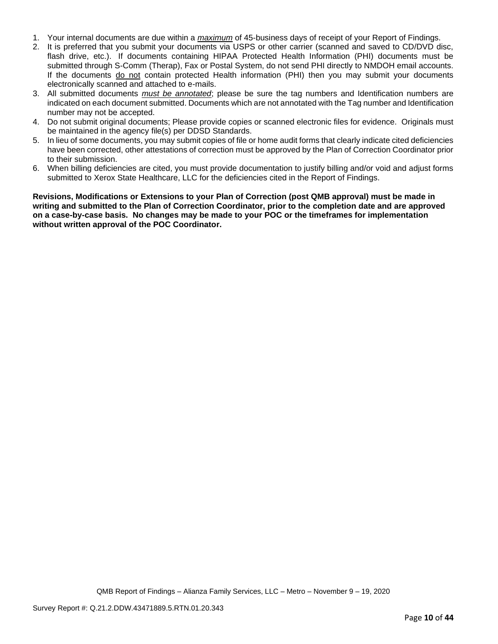- 1. Your internal documents are due within a *maximum* of 45-business days of receipt of your Report of Findings.
- 2. It is preferred that you submit your documents via USPS or other carrier (scanned and saved to CD/DVD disc, flash drive, etc.). If documents containing HIPAA Protected Health Information (PHI) documents must be submitted through S-Comm (Therap), Fax or Postal System, do not send PHI directly to NMDOH email accounts. If the documents do not contain protected Health information (PHI) then you may submit your documents electronically scanned and attached to e-mails.
- 3. All submitted documents *must be annotated*; please be sure the tag numbers and Identification numbers are indicated on each document submitted. Documents which are not annotated with the Tag number and Identification number may not be accepted.
- 4. Do not submit original documents; Please provide copies or scanned electronic files for evidence. Originals must be maintained in the agency file(s) per DDSD Standards.
- 5. In lieu of some documents, you may submit copies of file or home audit forms that clearly indicate cited deficiencies have been corrected, other attestations of correction must be approved by the Plan of Correction Coordinator prior to their submission.
- 6. When billing deficiencies are cited, you must provide documentation to justify billing and/or void and adjust forms submitted to Xerox State Healthcare, LLC for the deficiencies cited in the Report of Findings.

**Revisions, Modifications or Extensions to your Plan of Correction (post QMB approval) must be made in writing and submitted to the Plan of Correction Coordinator, prior to the completion date and are approved on a case-by-case basis. No changes may be made to your POC or the timeframes for implementation without written approval of the POC Coordinator.**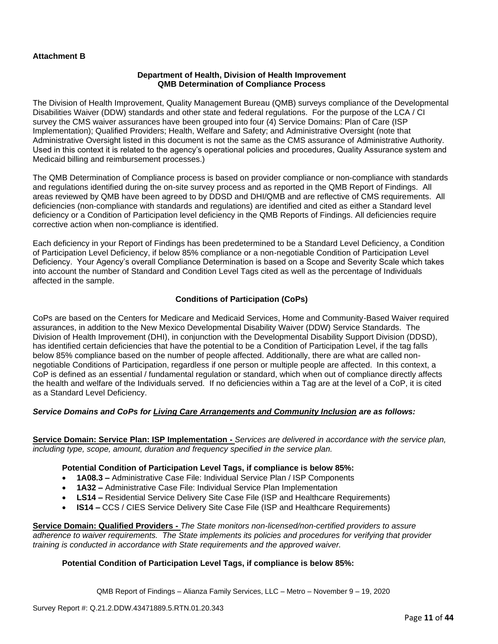## **Attachment B**

#### **Department of Health, Division of Health Improvement QMB Determination of Compliance Process**

The Division of Health Improvement, Quality Management Bureau (QMB) surveys compliance of the Developmental Disabilities Waiver (DDW) standards and other state and federal regulations. For the purpose of the LCA / CI survey the CMS waiver assurances have been grouped into four (4) Service Domains: Plan of Care (ISP Implementation); Qualified Providers; Health, Welfare and Safety; and Administrative Oversight (note that Administrative Oversight listed in this document is not the same as the CMS assurance of Administrative Authority. Used in this context it is related to the agency's operational policies and procedures, Quality Assurance system and Medicaid billing and reimbursement processes.)

The QMB Determination of Compliance process is based on provider compliance or non-compliance with standards and regulations identified during the on-site survey process and as reported in the QMB Report of Findings. All areas reviewed by QMB have been agreed to by DDSD and DHI/QMB and are reflective of CMS requirements. All deficiencies (non-compliance with standards and regulations) are identified and cited as either a Standard level deficiency or a Condition of Participation level deficiency in the QMB Reports of Findings. All deficiencies require corrective action when non-compliance is identified.

Each deficiency in your Report of Findings has been predetermined to be a Standard Level Deficiency, a Condition of Participation Level Deficiency, if below 85% compliance or a non-negotiable Condition of Participation Level Deficiency. Your Agency's overall Compliance Determination is based on a Scope and Severity Scale which takes into account the number of Standard and Condition Level Tags cited as well as the percentage of Individuals affected in the sample.

## **Conditions of Participation (CoPs)**

CoPs are based on the Centers for Medicare and Medicaid Services, Home and Community-Based Waiver required assurances, in addition to the New Mexico Developmental Disability Waiver (DDW) Service Standards. The Division of Health Improvement (DHI), in conjunction with the Developmental Disability Support Division (DDSD), has identified certain deficiencies that have the potential to be a Condition of Participation Level, if the tag falls below 85% compliance based on the number of people affected. Additionally, there are what are called nonnegotiable Conditions of Participation, regardless if one person or multiple people are affected. In this context, a CoP is defined as an essential / fundamental regulation or standard, which when out of compliance directly affects the health and welfare of the Individuals served. If no deficiencies within a Tag are at the level of a CoP, it is cited as a Standard Level Deficiency.

### *Service Domains and CoPs for Living Care Arrangements and Community Inclusion are as follows:*

**Service Domain: Service Plan: ISP Implementation -** *Services are delivered in accordance with the service plan, including type, scope, amount, duration and frequency specified in the service plan.*

### **Potential Condition of Participation Level Tags, if compliance is below 85%:**

- **1A08.3 –** Administrative Case File: Individual Service Plan / ISP Components
- **1A32 –** Administrative Case File: Individual Service Plan Implementation
- **LS14 –** Residential Service Delivery Site Case File (ISP and Healthcare Requirements)
- **IS14 –** CCS / CIES Service Delivery Site Case File (ISP and Healthcare Requirements)

**Service Domain: Qualified Providers -** *The State monitors non-licensed/non-certified providers to assure adherence to waiver requirements. The State implements its policies and procedures for verifying that provider training is conducted in accordance with State requirements and the approved waiver.*

### **Potential Condition of Participation Level Tags, if compliance is below 85%:**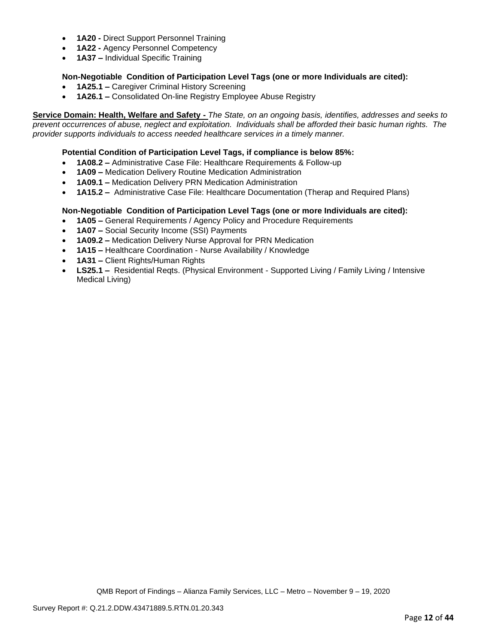- **1A20 -** Direct Support Personnel Training
- **1A22 -** Agency Personnel Competency
- **1A37 –** Individual Specific Training

## **Non-Negotiable Condition of Participation Level Tags (one or more Individuals are cited):**

- **1A25.1 –** Caregiver Criminal History Screening
- **1A26.1 –** Consolidated On-line Registry Employee Abuse Registry

**Service Domain: Health, Welfare and Safety -** *The State, on an ongoing basis, identifies, addresses and seeks to prevent occurrences of abuse, neglect and exploitation. Individuals shall be afforded their basic human rights. The provider supports individuals to access needed healthcare services in a timely manner.*

## **Potential Condition of Participation Level Tags, if compliance is below 85%:**

- **1A08.2 –** Administrative Case File: Healthcare Requirements & Follow-up
- **1A09 –** Medication Delivery Routine Medication Administration
- **1A09.1 –** Medication Delivery PRN Medication Administration
- **1A15.2 –** Administrative Case File: Healthcare Documentation (Therap and Required Plans)

## **Non-Negotiable Condition of Participation Level Tags (one or more Individuals are cited):**

- **1A05 –** General Requirements / Agency Policy and Procedure Requirements
- **1A07 –** Social Security Income (SSI) Payments
- **1A09.2 –** Medication Delivery Nurse Approval for PRN Medication
- **1A15 –** Healthcare Coordination Nurse Availability / Knowledge
- **1A31 –** Client Rights/Human Rights
- **LS25.1 –** Residential Reqts. (Physical Environment Supported Living / Family Living / Intensive Medical Living)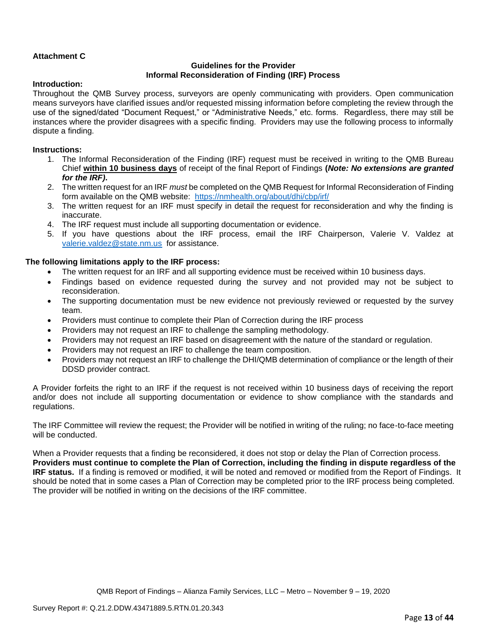## **Attachment C**

## **Guidelines for the Provider Informal Reconsideration of Finding (IRF) Process**

#### **Introduction:**

Throughout the QMB Survey process, surveyors are openly communicating with providers. Open communication means surveyors have clarified issues and/or requested missing information before completing the review through the use of the signed/dated "Document Request," or "Administrative Needs," etc. forms. Regardless, there may still be instances where the provider disagrees with a specific finding. Providers may use the following process to informally dispute a finding.

#### **Instructions:**

- 1. The Informal Reconsideration of the Finding (IRF) request must be received in writing to the QMB Bureau Chief **within 10 business days** of receipt of the final Report of Findings **(***Note: No extensions are granted for the IRF)***.**
- 2. The written request for an IRF *must* be completed on the QMB Request for Informal Reconsideration of Finding form available on the QMB website: <https://nmhealth.org/about/dhi/cbp/irf/>
- 3. The written request for an IRF must specify in detail the request for reconsideration and why the finding is inaccurate.
- 4. The IRF request must include all supporting documentation or evidence.
- 5. If you have questions about the IRF process, email the IRF Chairperson, Valerie V. Valdez at [valerie.valdez@state.nm.us](mailto:valerie.valdez@state.nm.us) for assistance.

#### **The following limitations apply to the IRF process:**

- The written request for an IRF and all supporting evidence must be received within 10 business days.
- Findings based on evidence requested during the survey and not provided may not be subject to reconsideration.
- The supporting documentation must be new evidence not previously reviewed or requested by the survey team.
- Providers must continue to complete their Plan of Correction during the IRF process
- Providers may not request an IRF to challenge the sampling methodology.
- Providers may not request an IRF based on disagreement with the nature of the standard or regulation.
- Providers may not request an IRF to challenge the team composition.
- Providers may not request an IRF to challenge the DHI/QMB determination of compliance or the length of their DDSD provider contract.

A Provider forfeits the right to an IRF if the request is not received within 10 business days of receiving the report and/or does not include all supporting documentation or evidence to show compliance with the standards and regulations.

The IRF Committee will review the request; the Provider will be notified in writing of the ruling; no face-to-face meeting will be conducted.

When a Provider requests that a finding be reconsidered, it does not stop or delay the Plan of Correction process. **Providers must continue to complete the Plan of Correction, including the finding in dispute regardless of the IRF status.** If a finding is removed or modified, it will be noted and removed or modified from the Report of Findings. It should be noted that in some cases a Plan of Correction may be completed prior to the IRF process being completed. The provider will be notified in writing on the decisions of the IRF committee.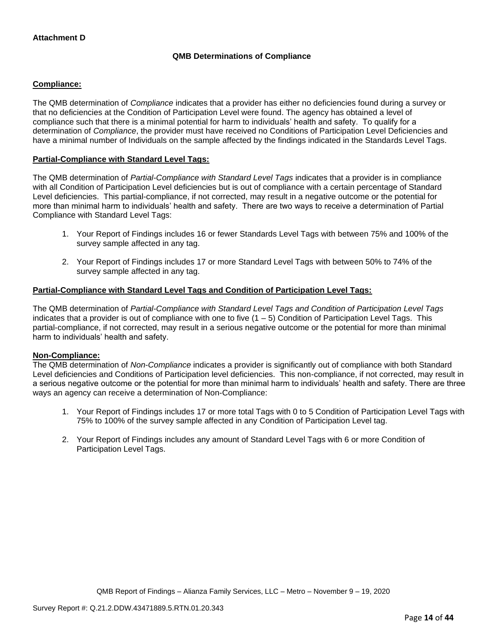## **QMB Determinations of Compliance**

## **Compliance:**

The QMB determination of *Compliance* indicates that a provider has either no deficiencies found during a survey or that no deficiencies at the Condition of Participation Level were found. The agency has obtained a level of compliance such that there is a minimal potential for harm to individuals' health and safety. To qualify for a determination of *Compliance*, the provider must have received no Conditions of Participation Level Deficiencies and have a minimal number of Individuals on the sample affected by the findings indicated in the Standards Level Tags.

## **Partial-Compliance with Standard Level Tags:**

The QMB determination of *Partial-Compliance with Standard Level Tags* indicates that a provider is in compliance with all Condition of Participation Level deficiencies but is out of compliance with a certain percentage of Standard Level deficiencies. This partial-compliance, if not corrected, may result in a negative outcome or the potential for more than minimal harm to individuals' health and safety. There are two ways to receive a determination of Partial Compliance with Standard Level Tags:

- 1. Your Report of Findings includes 16 or fewer Standards Level Tags with between 75% and 100% of the survey sample affected in any tag.
- 2. Your Report of Findings includes 17 or more Standard Level Tags with between 50% to 74% of the survey sample affected in any tag.

### **Partial-Compliance with Standard Level Tags and Condition of Participation Level Tags:**

The QMB determination of *Partial-Compliance with Standard Level Tags and Condition of Participation Level Tags*  indicates that a provider is out of compliance with one to five (1 – 5) Condition of Participation Level Tags. This partial-compliance, if not corrected, may result in a serious negative outcome or the potential for more than minimal harm to individuals' health and safety.

### **Non-Compliance:**

The QMB determination of *Non-Compliance* indicates a provider is significantly out of compliance with both Standard Level deficiencies and Conditions of Participation level deficiencies. This non-compliance, if not corrected, may result in a serious negative outcome or the potential for more than minimal harm to individuals' health and safety. There are three ways an agency can receive a determination of Non-Compliance:

- 1. Your Report of Findings includes 17 or more total Tags with 0 to 5 Condition of Participation Level Tags with 75% to 100% of the survey sample affected in any Condition of Participation Level tag.
- 2. Your Report of Findings includes any amount of Standard Level Tags with 6 or more Condition of Participation Level Tags.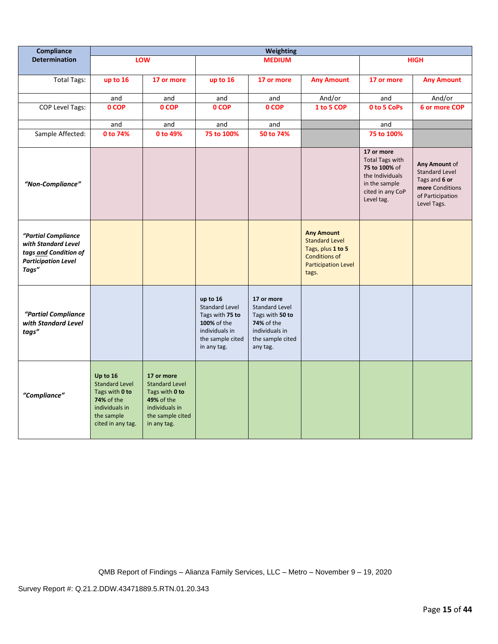| Compliance                                                                                                 | Weighting                                                                                                                     |                                                                                                                          |                                                                                                                          |                                                                                                                        |                                                                                                                                |                                                                                                                             |                                                                                                               |
|------------------------------------------------------------------------------------------------------------|-------------------------------------------------------------------------------------------------------------------------------|--------------------------------------------------------------------------------------------------------------------------|--------------------------------------------------------------------------------------------------------------------------|------------------------------------------------------------------------------------------------------------------------|--------------------------------------------------------------------------------------------------------------------------------|-----------------------------------------------------------------------------------------------------------------------------|---------------------------------------------------------------------------------------------------------------|
| <b>Determination</b>                                                                                       |                                                                                                                               | LOW                                                                                                                      |                                                                                                                          | <b>MEDIUM</b>                                                                                                          |                                                                                                                                |                                                                                                                             | <b>HIGH</b>                                                                                                   |
| <b>Total Tags:</b>                                                                                         | up to 16                                                                                                                      | 17 or more                                                                                                               | up to 16                                                                                                                 | 17 or more                                                                                                             | <b>Any Amount</b>                                                                                                              | 17 or more                                                                                                                  | <b>Any Amount</b>                                                                                             |
|                                                                                                            | and                                                                                                                           | and                                                                                                                      | and                                                                                                                      | and                                                                                                                    | And/or                                                                                                                         | and                                                                                                                         | And/or                                                                                                        |
| COP Level Tags:                                                                                            | 0 COP                                                                                                                         | 0 COP                                                                                                                    | 0 COP                                                                                                                    | 0 COP                                                                                                                  | 1 to 5 COP                                                                                                                     | 0 to 5 CoPs                                                                                                                 | 6 or more COP                                                                                                 |
|                                                                                                            | and                                                                                                                           | and                                                                                                                      | and                                                                                                                      | and                                                                                                                    |                                                                                                                                | and                                                                                                                         |                                                                                                               |
| Sample Affected:                                                                                           | 0 to 74%                                                                                                                      | 0 to 49%                                                                                                                 | 75 to 100%                                                                                                               | 50 to 74%                                                                                                              |                                                                                                                                | 75 to 100%                                                                                                                  |                                                                                                               |
| "Non-Compliance"                                                                                           |                                                                                                                               |                                                                                                                          |                                                                                                                          |                                                                                                                        |                                                                                                                                | 17 or more<br><b>Total Tags with</b><br>75 to 100% of<br>the Individuals<br>in the sample<br>cited in any CoP<br>Level tag. | Any Amount of<br><b>Standard Level</b><br>Tags and 6 or<br>more Conditions<br>of Participation<br>Level Tags. |
| "Partial Compliance<br>with Standard Level<br>tags and Condition of<br><b>Participation Level</b><br>Tags" |                                                                                                                               |                                                                                                                          |                                                                                                                          |                                                                                                                        | <b>Any Amount</b><br><b>Standard Level</b><br>Tags, plus 1 to 5<br><b>Conditions of</b><br><b>Participation Level</b><br>tags. |                                                                                                                             |                                                                                                               |
| "Partial Compliance<br>with Standard Level<br>tags"                                                        |                                                                                                                               |                                                                                                                          | up to 16<br><b>Standard Level</b><br>Tags with 75 to<br>100% of the<br>individuals in<br>the sample cited<br>in any tag. | 17 or more<br>Standard Level<br>Tags with 50 to<br><b>74%</b> of the<br>individuals in<br>the sample cited<br>any tag. |                                                                                                                                |                                                                                                                             |                                                                                                               |
| "Compliance"                                                                                               | Up to 16<br><b>Standard Level</b><br>Tags with 0 to<br><b>74% of the</b><br>individuals in<br>the sample<br>cited in any tag. | 17 or more<br><b>Standard Level</b><br>Tags with 0 to<br>49% of the<br>individuals in<br>the sample cited<br>in any tag. |                                                                                                                          |                                                                                                                        |                                                                                                                                |                                                                                                                             |                                                                                                               |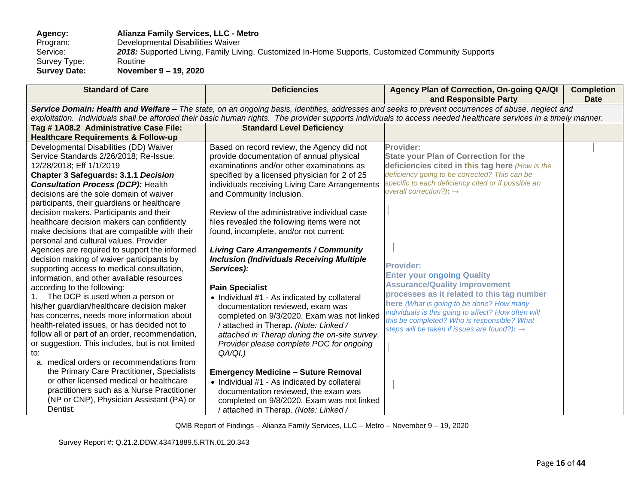## **Agency: Alianza Family Services, LLC - Metro**  Program: Developmental Disabilities Waiver<br>Service: 2018: Supported Living, Family Liv 2018: Supported Living, Family Living, Customized In-Home Supports, Customized Community Supports<br>Routine Survey Type:<br>Survey Date: **Survey Date: November 9 – 19, 2020**

| <b>Standard of Care</b>                                 | <b>Deficiencies</b>                              | Agency Plan of Correction, On-going QA/QI<br>and Responsible Party                                                                                               | <b>Completion</b><br><b>Date</b> |
|---------------------------------------------------------|--------------------------------------------------|------------------------------------------------------------------------------------------------------------------------------------------------------------------|----------------------------------|
|                                                         |                                                  | Service Domain: Health and Welfare - The state, on an ongoing basis, identifies, addresses and seeks to prevent occurrences of abuse, neglect and                |                                  |
|                                                         |                                                  | exploitation. Individuals shall be afforded their basic human rights. The provider supports individuals to access needed healthcare services in a timely manner. |                                  |
| Tag #1A08.2 Administrative Case File:                   | <b>Standard Level Deficiency</b>                 |                                                                                                                                                                  |                                  |
| <b>Healthcare Requirements &amp; Follow-up</b>          |                                                  |                                                                                                                                                                  |                                  |
| Developmental Disabilities (DD) Waiver                  | Based on record review, the Agency did not       | Provider:                                                                                                                                                        |                                  |
| Service Standards 2/26/2018; Re-Issue:                  | provide documentation of annual physical         | <b>State your Plan of Correction for the</b>                                                                                                                     |                                  |
| 12/28/2018; Eff 1/1/2019                                | examinations and/or other examinations as        | deficiencies cited in this tag here (How is the                                                                                                                  |                                  |
| <b>Chapter 3 Safeguards: 3.1.1 Decision</b>             | specified by a licensed physician for 2 of 25    | deficiency going to be corrected? This can be                                                                                                                    |                                  |
| <b>Consultation Process (DCP): Health</b>               | individuals receiving Living Care Arrangements   | specific to each deficiency cited or if possible an                                                                                                              |                                  |
| decisions are the sole domain of waiver                 | and Community Inclusion.                         | overall correction?): $\rightarrow$                                                                                                                              |                                  |
| participants, their guardians or healthcare             |                                                  |                                                                                                                                                                  |                                  |
| decision makers. Participants and their                 | Review of the administrative individual case     |                                                                                                                                                                  |                                  |
| healthcare decision makers can confidently              | files revealed the following items were not      |                                                                                                                                                                  |                                  |
| make decisions that are compatible with their           | found, incomplete, and/or not current:           |                                                                                                                                                                  |                                  |
| personal and cultural values. Provider                  |                                                  |                                                                                                                                                                  |                                  |
| Agencies are required to support the informed           | <b>Living Care Arrangements / Community</b>      |                                                                                                                                                                  |                                  |
| decision making of waiver participants by               | <b>Inclusion (Individuals Receiving Multiple</b> | <b>Provider:</b>                                                                                                                                                 |                                  |
| supporting access to medical consultation,              | Services):                                       | <b>Enter your ongoing Quality</b>                                                                                                                                |                                  |
| information, and other available resources              |                                                  | <b>Assurance/Quality Improvement</b>                                                                                                                             |                                  |
| according to the following:                             | <b>Pain Specialist</b>                           | processes as it related to this tag number                                                                                                                       |                                  |
| The DCP is used when a person or                        | • Individual #1 - As indicated by collateral     | here (What is going to be done? How many                                                                                                                         |                                  |
| his/her guardian/healthcare decision maker              | documentation reviewed, exam was                 | individuals is this going to affect? How often will                                                                                                              |                                  |
| has concerns, needs more information about              | completed on 9/3/2020. Exam was not linked       | this be completed? Who is responsible? What                                                                                                                      |                                  |
| health-related issues, or has decided not to            | / attached in Therap. (Note: Linked /            | steps will be taken if issues are found?): →                                                                                                                     |                                  |
| follow all or part of an order, recommendation,         | attached in Therap during the on-site survey.    |                                                                                                                                                                  |                                  |
| or suggestion. This includes, but is not limited<br>to: | Provider please complete POC for ongoing         |                                                                                                                                                                  |                                  |
| a. medical orders or recommendations from               | QA/QI.)                                          |                                                                                                                                                                  |                                  |
| the Primary Care Practitioner, Specialists              |                                                  |                                                                                                                                                                  |                                  |
| or other licensed medical or healthcare                 | <b>Emergency Medicine - Suture Removal</b>       |                                                                                                                                                                  |                                  |
| practitioners such as a Nurse Practitioner              | • Individual #1 - As indicated by collateral     |                                                                                                                                                                  |                                  |
| (NP or CNP), Physician Assistant (PA) or                | documentation reviewed, the exam was             |                                                                                                                                                                  |                                  |
| Dentist;                                                | completed on 9/8/2020. Exam was not linked       |                                                                                                                                                                  |                                  |
|                                                         | ' attached in Therap. (Note: Linked /            |                                                                                                                                                                  |                                  |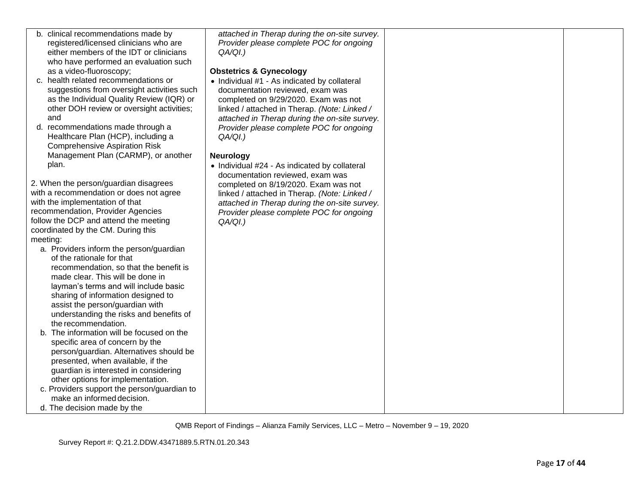| b. clinical recommendations made by                                        | attached in Therap during the on-site survey. |  |
|----------------------------------------------------------------------------|-----------------------------------------------|--|
| registered/licensed clinicians who are                                     | Provider please complete POC for ongoing      |  |
| either members of the IDT or clinicians                                    | QA/QI.)                                       |  |
| who have performed an evaluation such                                      |                                               |  |
| as a video-fluoroscopy;                                                    | <b>Obstetrics &amp; Gynecology</b>            |  |
| c. health related recommendations or                                       | • Individual #1 - As indicated by collateral  |  |
| suggestions from oversight activities such                                 | documentation reviewed, exam was              |  |
| as the Individual Quality Review (IQR) or                                  | completed on 9/29/2020. Exam was not          |  |
| other DOH review or oversight activities;                                  | linked / attached in Therap. (Note: Linked /  |  |
| and                                                                        | attached in Therap during the on-site survey. |  |
| d. recommendations made through a                                          | Provider please complete POC for ongoing      |  |
| Healthcare Plan (HCP), including a                                         | $QA/QI.$ )                                    |  |
| <b>Comprehensive Aspiration Risk</b>                                       |                                               |  |
| Management Plan (CARMP), or another                                        | <b>Neurology</b>                              |  |
| plan.                                                                      | • Individual #24 - As indicated by collateral |  |
|                                                                            | documentation reviewed, exam was              |  |
| 2. When the person/guardian disagrees                                      | completed on 8/19/2020. Exam was not          |  |
| with a recommendation or does not agree                                    | linked / attached in Therap. (Note: Linked /  |  |
| with the implementation of that                                            | attached in Therap during the on-site survey. |  |
| recommendation, Provider Agencies                                          | Provider please complete POC for ongoing      |  |
| follow the DCP and attend the meeting                                      |                                               |  |
| coordinated by the CM. During this                                         | QA/QI.)                                       |  |
| meeting:                                                                   |                                               |  |
| a. Providers inform the person/guardian                                    |                                               |  |
| of the rationale for that                                                  |                                               |  |
|                                                                            |                                               |  |
| recommendation, so that the benefit is<br>made clear. This will be done in |                                               |  |
|                                                                            |                                               |  |
| layman's terms and will include basic                                      |                                               |  |
| sharing of information designed to                                         |                                               |  |
| assist the person/guardian with                                            |                                               |  |
| understanding the risks and benefits of                                    |                                               |  |
| the recommendation.                                                        |                                               |  |
| The information will be focused on the<br>b.                               |                                               |  |
| specific area of concern by the                                            |                                               |  |
| person/guardian. Alternatives should be                                    |                                               |  |
| presented, when available, if the                                          |                                               |  |
| guardian is interested in considering                                      |                                               |  |
| other options for implementation.                                          |                                               |  |
| c. Providers support the person/guardian to                                |                                               |  |
| make an informed decision.                                                 |                                               |  |
| d. The decision made by the                                                |                                               |  |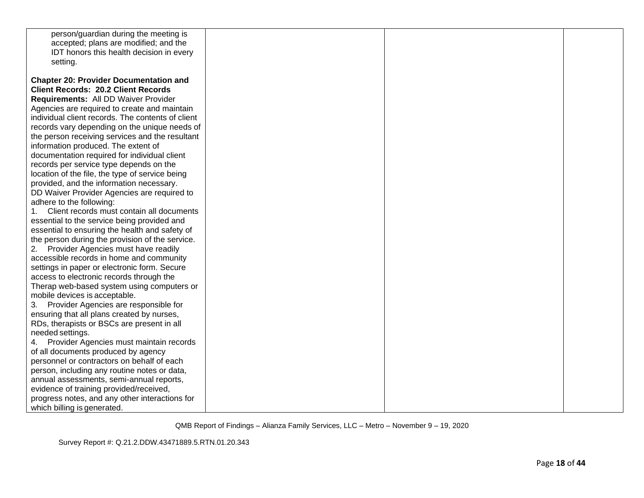| person/guardian during the meeting is<br>accepted; plans are modified; and the<br>IDT honors this health decision in every<br>setting.                                                                                                                                                                                                                                                                                                                                                                                                                                                                                                                                                                                                                                                                                                                                                                                                                                                                                                                                                                                                                                       |  |  |
|------------------------------------------------------------------------------------------------------------------------------------------------------------------------------------------------------------------------------------------------------------------------------------------------------------------------------------------------------------------------------------------------------------------------------------------------------------------------------------------------------------------------------------------------------------------------------------------------------------------------------------------------------------------------------------------------------------------------------------------------------------------------------------------------------------------------------------------------------------------------------------------------------------------------------------------------------------------------------------------------------------------------------------------------------------------------------------------------------------------------------------------------------------------------------|--|--|
| <b>Chapter 20: Provider Documentation and</b><br><b>Client Records: 20.2 Client Records</b><br>Requirements: All DD Waiver Provider<br>Agencies are required to create and maintain<br>individual client records. The contents of client<br>records vary depending on the unique needs of<br>the person receiving services and the resultant<br>information produced. The extent of<br>documentation required for individual client<br>records per service type depends on the<br>location of the file, the type of service being<br>provided, and the information necessary.<br>DD Waiver Provider Agencies are required to<br>adhere to the following:<br>1. Client records must contain all documents<br>essential to the service being provided and<br>essential to ensuring the health and safety of<br>the person during the provision of the service.<br>2. Provider Agencies must have readily<br>accessible records in home and community<br>settings in paper or electronic form. Secure<br>access to electronic records through the<br>Therap web-based system using computers or<br>mobile devices is acceptable.<br>Provider Agencies are responsible for<br>3. |  |  |
| ensuring that all plans created by nurses,<br>RDs, therapists or BSCs are present in all<br>needed settings.<br>4. Provider Agencies must maintain records<br>of all documents produced by agency<br>personnel or contractors on behalf of each                                                                                                                                                                                                                                                                                                                                                                                                                                                                                                                                                                                                                                                                                                                                                                                                                                                                                                                              |  |  |
| person, including any routine notes or data,<br>annual assessments, semi-annual reports,<br>evidence of training provided/received,<br>progress notes, and any other interactions for<br>which billing is generated.                                                                                                                                                                                                                                                                                                                                                                                                                                                                                                                                                                                                                                                                                                                                                                                                                                                                                                                                                         |  |  |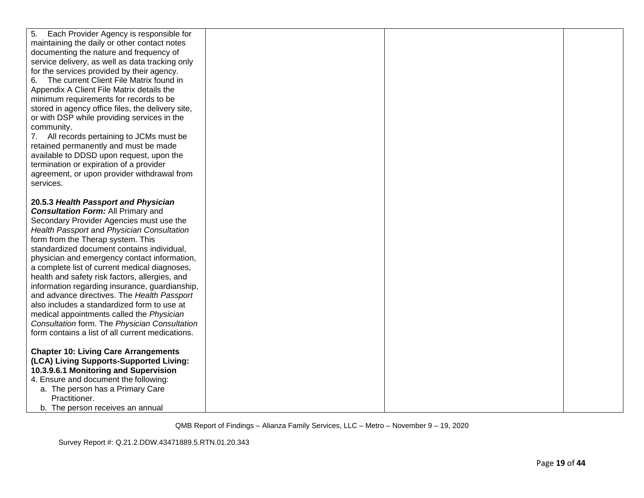| Each Provider Agency is responsible for<br>5.                                                 |  |  |
|-----------------------------------------------------------------------------------------------|--|--|
| maintaining the daily or other contact notes                                                  |  |  |
| documenting the nature and frequency of                                                       |  |  |
| service delivery, as well as data tracking only                                               |  |  |
| for the services provided by their agency.                                                    |  |  |
| The current Client File Matrix found in<br>6.                                                 |  |  |
| Appendix A Client File Matrix details the                                                     |  |  |
| minimum requirements for records to be                                                        |  |  |
| stored in agency office files, the delivery site,                                             |  |  |
| or with DSP while providing services in the                                                   |  |  |
| community.                                                                                    |  |  |
| 7. All records pertaining to JCMs must be                                                     |  |  |
| retained permanently and must be made                                                         |  |  |
| available to DDSD upon request, upon the                                                      |  |  |
| termination or expiration of a provider                                                       |  |  |
| agreement, or upon provider withdrawal from                                                   |  |  |
| services.                                                                                     |  |  |
|                                                                                               |  |  |
| 20.5.3 Health Passport and Physician                                                          |  |  |
| <b>Consultation Form: All Primary and</b>                                                     |  |  |
| Secondary Provider Agencies must use the                                                      |  |  |
| Health Passport and Physician Consultation                                                    |  |  |
| form from the Therap system. This                                                             |  |  |
| standardized document contains individual,                                                    |  |  |
| physician and emergency contact information,                                                  |  |  |
| a complete list of current medical diagnoses,                                                 |  |  |
| health and safety risk factors, allergies, and                                                |  |  |
| information regarding insurance, guardianship,<br>and advance directives. The Health Passport |  |  |
| also includes a standardized form to use at                                                   |  |  |
| medical appointments called the Physician                                                     |  |  |
| Consultation form. The Physician Consultation                                                 |  |  |
| form contains a list of all current medications.                                              |  |  |
|                                                                                               |  |  |
| <b>Chapter 10: Living Care Arrangements</b>                                                   |  |  |
| (LCA) Living Supports-Supported Living:                                                       |  |  |
| 10.3.9.6.1 Monitoring and Supervision                                                         |  |  |
| 4. Ensure and document the following:                                                         |  |  |
| a. The person has a Primary Care                                                              |  |  |
| Practitioner.                                                                                 |  |  |
| b. The person receives an annual                                                              |  |  |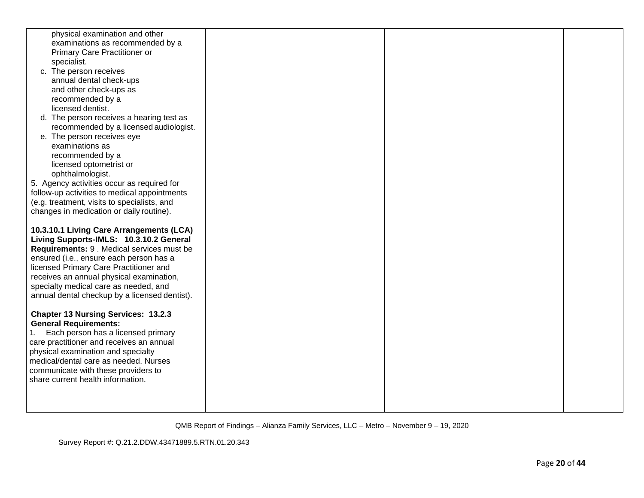| physical examination and other                                                                                                                                                                                                                                                                                                                                                                                                                                                                                                                                                                                                                                                             |  |  |
|--------------------------------------------------------------------------------------------------------------------------------------------------------------------------------------------------------------------------------------------------------------------------------------------------------------------------------------------------------------------------------------------------------------------------------------------------------------------------------------------------------------------------------------------------------------------------------------------------------------------------------------------------------------------------------------------|--|--|
| examinations as recommended by a                                                                                                                                                                                                                                                                                                                                                                                                                                                                                                                                                                                                                                                           |  |  |
| Primary Care Practitioner or                                                                                                                                                                                                                                                                                                                                                                                                                                                                                                                                                                                                                                                               |  |  |
| specialist.                                                                                                                                                                                                                                                                                                                                                                                                                                                                                                                                                                                                                                                                                |  |  |
| c. The person receives                                                                                                                                                                                                                                                                                                                                                                                                                                                                                                                                                                                                                                                                     |  |  |
| annual dental check-ups                                                                                                                                                                                                                                                                                                                                                                                                                                                                                                                                                                                                                                                                    |  |  |
| and other check-ups as                                                                                                                                                                                                                                                                                                                                                                                                                                                                                                                                                                                                                                                                     |  |  |
| recommended by a                                                                                                                                                                                                                                                                                                                                                                                                                                                                                                                                                                                                                                                                           |  |  |
| licensed dentist.                                                                                                                                                                                                                                                                                                                                                                                                                                                                                                                                                                                                                                                                          |  |  |
| d. The person receives a hearing test as                                                                                                                                                                                                                                                                                                                                                                                                                                                                                                                                                                                                                                                   |  |  |
| recommended by a licensed audiologist.                                                                                                                                                                                                                                                                                                                                                                                                                                                                                                                                                                                                                                                     |  |  |
| e. The person receives eye                                                                                                                                                                                                                                                                                                                                                                                                                                                                                                                                                                                                                                                                 |  |  |
| examinations as                                                                                                                                                                                                                                                                                                                                                                                                                                                                                                                                                                                                                                                                            |  |  |
| recommended by a                                                                                                                                                                                                                                                                                                                                                                                                                                                                                                                                                                                                                                                                           |  |  |
| licensed optometrist or                                                                                                                                                                                                                                                                                                                                                                                                                                                                                                                                                                                                                                                                    |  |  |
| ophthalmologist.                                                                                                                                                                                                                                                                                                                                                                                                                                                                                                                                                                                                                                                                           |  |  |
| 5. Agency activities occur as required for                                                                                                                                                                                                                                                                                                                                                                                                                                                                                                                                                                                                                                                 |  |  |
| follow-up activities to medical appointments                                                                                                                                                                                                                                                                                                                                                                                                                                                                                                                                                                                                                                               |  |  |
| (e.g. treatment, visits to specialists, and                                                                                                                                                                                                                                                                                                                                                                                                                                                                                                                                                                                                                                                |  |  |
| changes in medication or daily routine).                                                                                                                                                                                                                                                                                                                                                                                                                                                                                                                                                                                                                                                   |  |  |
| 10.3.10.1 Living Care Arrangements (LCA)<br>Living Supports-IMLS: 10.3.10.2 General<br>Requirements: 9 . Medical services must be<br>ensured (i.e., ensure each person has a<br>licensed Primary Care Practitioner and<br>receives an annual physical examination,<br>specialty medical care as needed, and<br>annual dental checkup by a licensed dentist).<br><b>Chapter 13 Nursing Services: 13.2.3</b><br><b>General Requirements:</b><br>1. Each person has a licensed primary<br>care practitioner and receives an annual<br>physical examination and specialty<br>medical/dental care as needed. Nurses<br>communicate with these providers to<br>share current health information. |  |  |
|                                                                                                                                                                                                                                                                                                                                                                                                                                                                                                                                                                                                                                                                                            |  |  |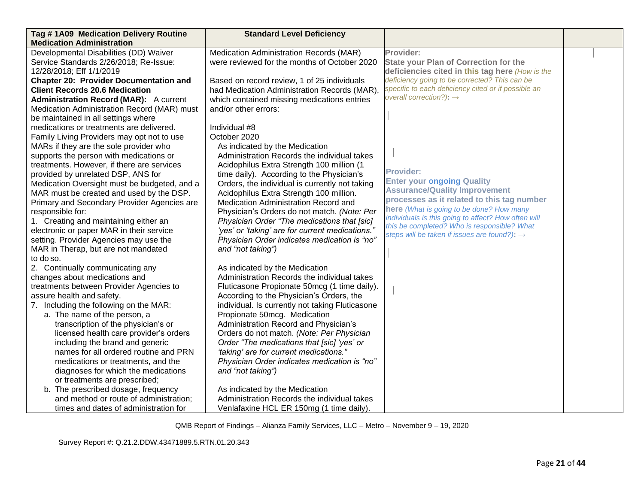| Tag #1A09 Medication Delivery Routine         | <b>Standard Level Deficiency</b>                |                                                                                                    |  |
|-----------------------------------------------|-------------------------------------------------|----------------------------------------------------------------------------------------------------|--|
| <b>Medication Administration</b>              |                                                 |                                                                                                    |  |
| Developmental Disabilities (DD) Waiver        | Medication Administration Records (MAR)         | Provider:                                                                                          |  |
| Service Standards 2/26/2018; Re-Issue:        | were reviewed for the months of October 2020    | <b>State your Plan of Correction for the</b>                                                       |  |
| 12/28/2018; Eff 1/1/2019                      |                                                 | deficiencies cited in this tag here (How is the                                                    |  |
| <b>Chapter 20: Provider Documentation and</b> | Based on record review, 1 of 25 individuals     | deficiency going to be corrected? This can be                                                      |  |
| <b>Client Records 20.6 Medication</b>         | had Medication Administration Records (MAR),    | specific to each deficiency cited or if possible an                                                |  |
| <b>Administration Record (MAR):</b> A current | which contained missing medications entries     | overall correction?): $\rightarrow$                                                                |  |
| Medication Administration Record (MAR) must   | and/or other errors:                            |                                                                                                    |  |
| be maintained in all settings where           |                                                 |                                                                                                    |  |
| medications or treatments are delivered.      | Individual #8                                   |                                                                                                    |  |
| Family Living Providers may opt not to use    | October 2020                                    |                                                                                                    |  |
| MARs if they are the sole provider who        | As indicated by the Medication                  |                                                                                                    |  |
| supports the person with medications or       | Administration Records the individual takes     |                                                                                                    |  |
| treatments. However, if there are services    | Acidophilus Extra Strength 100 million (1       |                                                                                                    |  |
| provided by unrelated DSP, ANS for            | time daily). According to the Physician's       | <b>Provider:</b>                                                                                   |  |
| Medication Oversight must be budgeted, and a  | Orders, the individual is currently not taking  | <b>Enter your ongoing Quality</b>                                                                  |  |
| MAR must be created and used by the DSP.      | Acidophilus Extra Strength 100 million.         | <b>Assurance/Quality Improvement</b>                                                               |  |
| Primary and Secondary Provider Agencies are   | Medication Administration Record and            | processes as it related to this tag number                                                         |  |
| responsible for:                              | Physician's Orders do not match. (Note: Per     | here (What is going to be done? How many                                                           |  |
| 1. Creating and maintaining either an         | Physician Order "The medications that [sic]     | individuals is this going to affect? How often will<br>this be completed? Who is responsible? What |  |
| electronic or paper MAR in their service      | 'yes' or 'taking' are for current medications." | steps will be taken if issues are found?): $\rightarrow$                                           |  |
| setting. Provider Agencies may use the        | Physician Order indicates medication is "no"    |                                                                                                    |  |
| MAR in Therap, but are not mandated           | and "not taking")                               |                                                                                                    |  |
| to do so.                                     |                                                 |                                                                                                    |  |
| 2. Continually communicating any              | As indicated by the Medication                  |                                                                                                    |  |
| changes about medications and                 | Administration Records the individual takes     |                                                                                                    |  |
| treatments between Provider Agencies to       | Fluticasone Propionate 50mcg (1 time daily).    |                                                                                                    |  |
| assure health and safety.                     | According to the Physician's Orders, the        |                                                                                                    |  |
| 7. Including the following on the MAR:        | individual. Is currently not taking Fluticasone |                                                                                                    |  |
| a. The name of the person, a                  | Propionate 50mcg. Medication                    |                                                                                                    |  |
| transcription of the physician's or           | Administration Record and Physician's           |                                                                                                    |  |
| licensed health care provider's orders        | Orders do not match. (Note: Per Physician       |                                                                                                    |  |
| including the brand and generic               | Order "The medications that [sic] 'yes' or      |                                                                                                    |  |
| names for all ordered routine and PRN         | "taking' are for current medications."          |                                                                                                    |  |
| medications or treatments, and the            | Physician Order indicates medication is "no"    |                                                                                                    |  |
| diagnoses for which the medications           | and "not taking")                               |                                                                                                    |  |
| or treatments are prescribed;                 |                                                 |                                                                                                    |  |
| b. The prescribed dosage, frequency           | As indicated by the Medication                  |                                                                                                    |  |
| and method or route of administration;        | Administration Records the individual takes     |                                                                                                    |  |
| times and dates of administration for         | Venlafaxine HCL ER 150mg (1 time daily).        |                                                                                                    |  |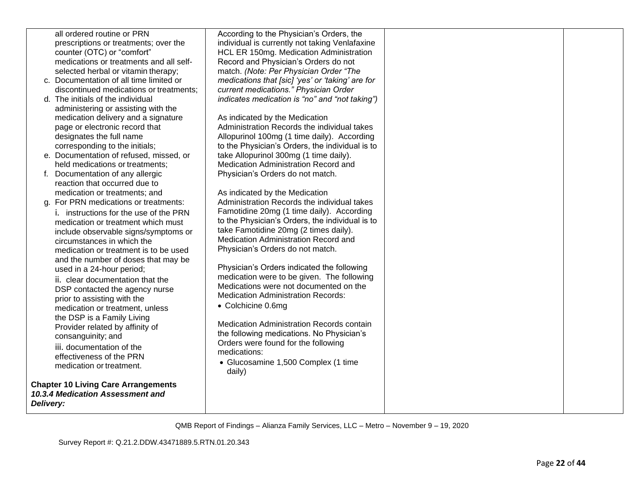|           | all ordered routine or PRN                                                | According to the Physician's Orders, the                                       |  |
|-----------|---------------------------------------------------------------------------|--------------------------------------------------------------------------------|--|
|           | prescriptions or treatments; over the                                     | individual is currently not taking Venlafaxine                                 |  |
|           | counter (OTC) or "comfort"                                                | HCL ER 150mg. Medication Administration                                        |  |
|           | medications or treatments and all self-                                   | Record and Physician's Orders do not                                           |  |
|           | selected herbal or vitamin therapy;                                       | match. (Note: Per Physician Order "The                                         |  |
|           | c. Documentation of all time limited or                                   | medications that [sic] 'yes' or 'taking' are for                               |  |
|           | discontinued medications or treatments;                                   | current medications." Physician Order                                          |  |
|           | d. The initials of the individual                                         | indicates medication is "no" and "not taking")                                 |  |
|           | administering or assisting with the                                       |                                                                                |  |
|           | medication delivery and a signature                                       | As indicated by the Medication                                                 |  |
|           | page or electronic record that                                            | Administration Records the individual takes                                    |  |
|           | designates the full name                                                  | Allopurinol 100mg (1 time daily). According                                    |  |
|           |                                                                           |                                                                                |  |
|           | corresponding to the initials;<br>e. Documentation of refused, missed, or | to the Physician's Orders, the individual is to                                |  |
|           | held medications or treatments;                                           | take Allopurinol 300mg (1 time daily).<br>Medication Administration Record and |  |
|           |                                                                           |                                                                                |  |
|           | f. Documentation of any allergic                                          | Physician's Orders do not match.                                               |  |
|           | reaction that occurred due to                                             |                                                                                |  |
|           | medication or treatments; and                                             | As indicated by the Medication                                                 |  |
|           | g. For PRN medications or treatments:                                     | Administration Records the individual takes                                    |  |
|           | <i>i.</i> instructions for the use of the PRN                             | Famotidine 20mg (1 time daily). According                                      |  |
|           | medication or treatment which must                                        | to the Physician's Orders, the individual is to                                |  |
|           | include observable signs/symptoms or                                      | take Famotidine 20mg (2 times daily).                                          |  |
|           | circumstances in which the                                                | Medication Administration Record and                                           |  |
|           | medication or treatment is to be used                                     | Physician's Orders do not match.                                               |  |
|           | and the number of doses that may be                                       |                                                                                |  |
|           | used in a 24-hour period;                                                 | Physician's Orders indicated the following                                     |  |
|           | ii. clear documentation that the                                          | medication were to be given. The following                                     |  |
|           | DSP contacted the agency nurse                                            | Medications were not documented on the                                         |  |
|           | prior to assisting with the                                               | <b>Medication Administration Records:</b>                                      |  |
|           | medication or treatment, unless                                           | • Colchicine 0.6mg                                                             |  |
|           | the DSP is a Family Living                                                |                                                                                |  |
|           | Provider related by affinity of                                           | Medication Administration Records contain                                      |  |
|           | consanguinity; and                                                        | the following medications. No Physician's                                      |  |
|           | iii. documentation of the                                                 | Orders were found for the following                                            |  |
|           | effectiveness of the PRN                                                  | medications:                                                                   |  |
|           | medication or treatment.                                                  | • Glucosamine 1,500 Complex (1 time                                            |  |
|           |                                                                           | daily)                                                                         |  |
|           | <b>Chapter 10 Living Care Arrangements</b>                                |                                                                                |  |
|           | 10.3.4 Medication Assessment and                                          |                                                                                |  |
| Delivery: |                                                                           |                                                                                |  |
|           |                                                                           |                                                                                |  |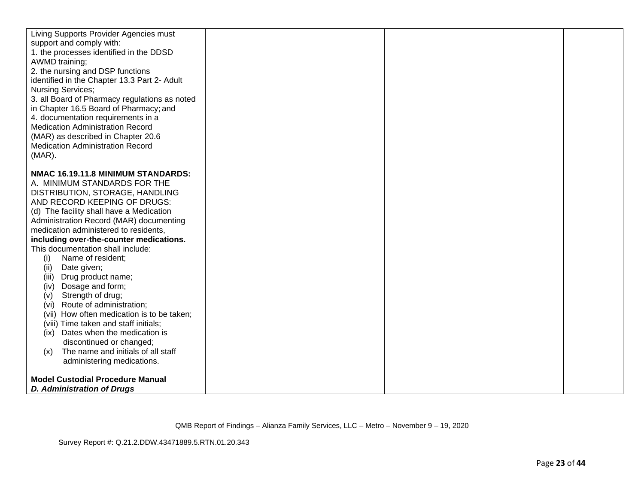| Living Supports Provider Agencies must<br>support and comply with:<br>1. the processes identified in the DDSD<br>AWMD training;<br>2. the nursing and DSP functions<br>identified in the Chapter 13.3 Part 2- Adult<br><b>Nursing Services;</b><br>3. all Board of Pharmacy regulations as noted<br>in Chapter 16.5 Board of Pharmacy; and<br>4. documentation requirements in a<br><b>Medication Administration Record</b><br>(MAR) as described in Chapter 20.6<br><b>Medication Administration Record</b><br>$(MAR)$ .                                                                                                                                                                                                                                              |  |  |
|------------------------------------------------------------------------------------------------------------------------------------------------------------------------------------------------------------------------------------------------------------------------------------------------------------------------------------------------------------------------------------------------------------------------------------------------------------------------------------------------------------------------------------------------------------------------------------------------------------------------------------------------------------------------------------------------------------------------------------------------------------------------|--|--|
| NMAC 16.19.11.8 MINIMUM STANDARDS:<br>A. MINIMUM STANDARDS FOR THE<br>DISTRIBUTION, STORAGE, HANDLING<br>AND RECORD KEEPING OF DRUGS:<br>(d) The facility shall have a Medication<br>Administration Record (MAR) documenting<br>medication administered to residents,<br>including over-the-counter medications.<br>This documentation shall include:<br>(i)<br>Name of resident;<br>Date given;<br>(ii)<br>(iii) Drug product name;<br>Dosage and form;<br>(iv)<br>Strength of drug;<br>(v)<br>Route of administration;<br>(vi)<br>(vii) How often medication is to be taken;<br>(viii) Time taken and staff initials;<br>Dates when the medication is<br>(ix)<br>discontinued or changed;<br>The name and initials of all staff<br>(x)<br>administering medications. |  |  |
| <b>Model Custodial Procedure Manual</b><br><b>D. Administration of Drugs</b>                                                                                                                                                                                                                                                                                                                                                                                                                                                                                                                                                                                                                                                                                           |  |  |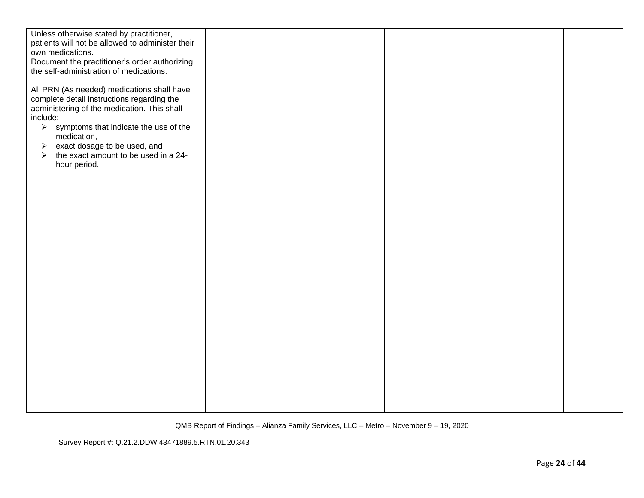| Unless otherwise stated by practitioner,                                                                                                                                                                                                                                                                                                                                                             |  |  |
|------------------------------------------------------------------------------------------------------------------------------------------------------------------------------------------------------------------------------------------------------------------------------------------------------------------------------------------------------------------------------------------------------|--|--|
| patients will not be allowed to administer their                                                                                                                                                                                                                                                                                                                                                     |  |  |
| own medications.                                                                                                                                                                                                                                                                                                                                                                                     |  |  |
| Document the practitioner's order authorizing                                                                                                                                                                                                                                                                                                                                                        |  |  |
|                                                                                                                                                                                                                                                                                                                                                                                                      |  |  |
| the self-administration of medications.<br>All PRN (As needed) medications shall have<br>complete detail instructions regarding the<br>administering of the medication. This shall<br>include:<br>$\triangleright$ symptoms that indicate the use of the<br>medication,<br>$\triangleright$ exact dosage to be used, and<br>the exact amount to be used in a 24-<br>$\triangleright$<br>hour period. |  |  |
|                                                                                                                                                                                                                                                                                                                                                                                                      |  |  |
|                                                                                                                                                                                                                                                                                                                                                                                                      |  |  |
|                                                                                                                                                                                                                                                                                                                                                                                                      |  |  |
|                                                                                                                                                                                                                                                                                                                                                                                                      |  |  |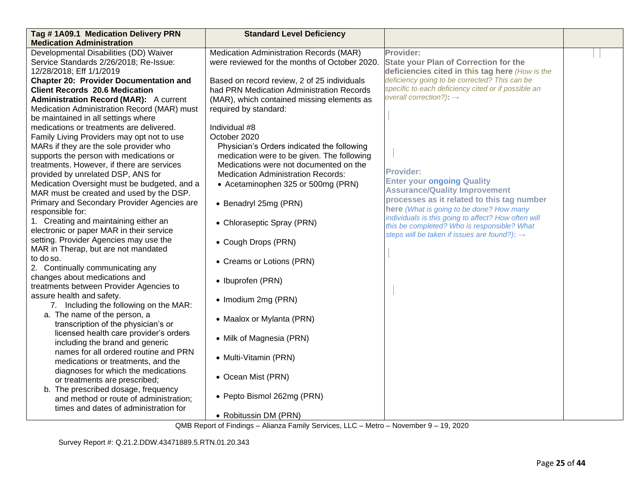| Tag #1A09.1 Medication Delivery PRN           | <b>Standard Level Deficiency</b>              |                                                                                                    |  |
|-----------------------------------------------|-----------------------------------------------|----------------------------------------------------------------------------------------------------|--|
| <b>Medication Administration</b>              |                                               |                                                                                                    |  |
| Developmental Disabilities (DD) Waiver        | Medication Administration Records (MAR)       | Provider:                                                                                          |  |
| Service Standards 2/26/2018; Re-Issue:        | were reviewed for the months of October 2020. | <b>State your Plan of Correction for the</b>                                                       |  |
| 12/28/2018; Eff 1/1/2019                      |                                               | deficiencies cited in this tag here (How is the                                                    |  |
| <b>Chapter 20: Provider Documentation and</b> | Based on record review, 2 of 25 individuals   | deficiency going to be corrected? This can be                                                      |  |
| <b>Client Records 20.6 Medication</b>         | had PRN Medication Administration Records     | specific to each deficiency cited or if possible an                                                |  |
| <b>Administration Record (MAR):</b> A current | (MAR), which contained missing elements as    | overall correction?): $\rightarrow$                                                                |  |
| Medication Administration Record (MAR) must   | required by standard:                         |                                                                                                    |  |
| be maintained in all settings where           |                                               |                                                                                                    |  |
| medications or treatments are delivered.      | Individual #8                                 |                                                                                                    |  |
| Family Living Providers may opt not to use    | October 2020                                  |                                                                                                    |  |
| MARs if they are the sole provider who        | Physician's Orders indicated the following    |                                                                                                    |  |
| supports the person with medications or       | medication were to be given. The following    |                                                                                                    |  |
| treatments. However, if there are services    | Medications were not documented on the        |                                                                                                    |  |
| provided by unrelated DSP, ANS for            | <b>Medication Administration Records:</b>     | <b>Provider:</b>                                                                                   |  |
| Medication Oversight must be budgeted, and a  | • Acetaminophen 325 or 500mg (PRN)            | <b>Enter your ongoing Quality</b>                                                                  |  |
| MAR must be created and used by the DSP.      |                                               | <b>Assurance/Quality Improvement</b>                                                               |  |
| Primary and Secondary Provider Agencies are   | • Benadryl 25mg (PRN)                         | processes as it related to this tag number                                                         |  |
| responsible for:                              |                                               | here (What is going to be done? How many                                                           |  |
| 1. Creating and maintaining either an         | • Chloraseptic Spray (PRN)                    | individuals is this going to affect? How often will<br>this be completed? Who is responsible? What |  |
| electronic or paper MAR in their service      |                                               | steps will be taken if issues are found?): $\rightarrow$                                           |  |
| setting. Provider Agencies may use the        | • Cough Drops (PRN)                           |                                                                                                    |  |
| MAR in Therap, but are not mandated           |                                               |                                                                                                    |  |
| to do so.                                     | • Creams or Lotions (PRN)                     |                                                                                                    |  |
| 2. Continually communicating any              |                                               |                                                                                                    |  |
| changes about medications and                 | • Ibuprofen (PRN)                             |                                                                                                    |  |
| treatments between Provider Agencies to       |                                               |                                                                                                    |  |
| assure health and safety.                     | • Imodium 2mg (PRN)                           |                                                                                                    |  |
| 7. Including the following on the MAR:        |                                               |                                                                                                    |  |
| a. The name of the person, a                  | • Maalox or Mylanta (PRN)                     |                                                                                                    |  |
| transcription of the physician's or           |                                               |                                                                                                    |  |
| licensed health care provider's orders        | • Milk of Magnesia (PRN)                      |                                                                                                    |  |
| including the brand and generic               |                                               |                                                                                                    |  |
| names for all ordered routine and PRN         | • Multi-Vitamin (PRN)                         |                                                                                                    |  |
| medications or treatments, and the            |                                               |                                                                                                    |  |
| diagnoses for which the medications           | • Ocean Mist (PRN)                            |                                                                                                    |  |
| or treatments are prescribed;                 |                                               |                                                                                                    |  |
| b. The prescribed dosage, frequency           | • Pepto Bismol 262mg (PRN)                    |                                                                                                    |  |
| and method or route of administration;        |                                               |                                                                                                    |  |
| times and dates of administration for         |                                               |                                                                                                    |  |
|                                               | • Robitussin DM (PRN)                         |                                                                                                    |  |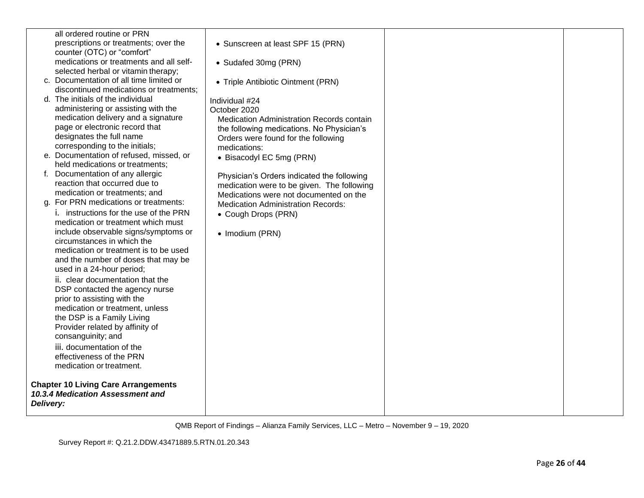|           | all ordered routine or PRN                                                     |                                            |  |
|-----------|--------------------------------------------------------------------------------|--------------------------------------------|--|
|           | prescriptions or treatments; over the                                          | • Sunscreen at least SPF 15 (PRN)          |  |
|           | counter (OTC) or "comfort"                                                     |                                            |  |
|           | medications or treatments and all self-                                        | • Sudafed 30mg (PRN)                       |  |
|           | selected herbal or vitamin therapy;                                            |                                            |  |
|           | c. Documentation of all time limited or                                        | • Triple Antibiotic Ointment (PRN)         |  |
|           | discontinued medications or treatments;                                        |                                            |  |
|           | d. The initials of the individual                                              | Individual #24                             |  |
|           | administering or assisting with the                                            | October 2020                               |  |
|           | medication delivery and a signature                                            | Medication Administration Records contain  |  |
|           | page or electronic record that                                                 | the following medications. No Physician's  |  |
|           | designates the full name                                                       | Orders were found for the following        |  |
|           | corresponding to the initials;                                                 | medications:                               |  |
|           | e. Documentation of refused, missed, or                                        | • Bisacodyl EC 5mg (PRN)                   |  |
|           | held medications or treatments;                                                |                                            |  |
|           | f. Documentation of any allergic                                               | Physician's Orders indicated the following |  |
|           | reaction that occurred due to                                                  | medication were to be given. The following |  |
|           | medication or treatments; and                                                  | Medications were not documented on the     |  |
|           | g. For PRN medications or treatments:                                          | <b>Medication Administration Records:</b>  |  |
|           | i. instructions for the use of the PRN                                         | • Cough Drops (PRN)                        |  |
|           | medication or treatment which must                                             |                                            |  |
|           | include observable signs/symptoms or                                           | • Imodium (PRN)                            |  |
|           | circumstances in which the                                                     |                                            |  |
|           | medication or treatment is to be used                                          |                                            |  |
|           | and the number of doses that may be                                            |                                            |  |
|           | used in a 24-hour period;                                                      |                                            |  |
|           | ii. clear documentation that the                                               |                                            |  |
|           | DSP contacted the agency nurse                                                 |                                            |  |
|           | prior to assisting with the                                                    |                                            |  |
|           | medication or treatment, unless                                                |                                            |  |
|           | the DSP is a Family Living                                                     |                                            |  |
|           | Provider related by affinity of                                                |                                            |  |
|           | consanguinity; and                                                             |                                            |  |
|           | iii. documentation of the                                                      |                                            |  |
|           | effectiveness of the PRN                                                       |                                            |  |
|           | medication or treatment.                                                       |                                            |  |
|           | <b>Chapter 10 Living Care Arrangements</b><br>10.3.4 Medication Assessment and |                                            |  |
| Delivery: |                                                                                |                                            |  |
|           |                                                                                |                                            |  |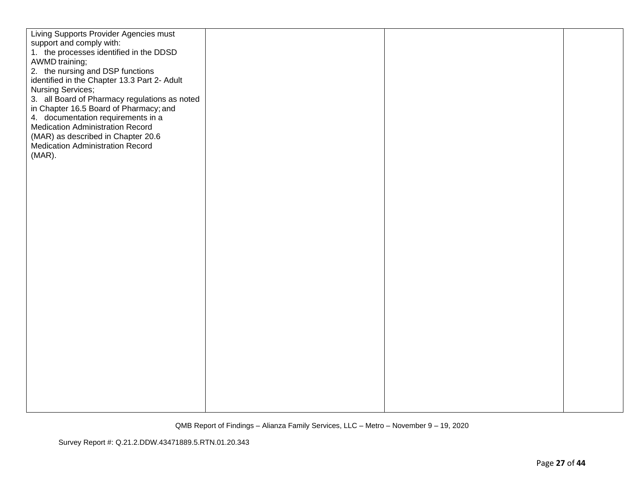| Living Supports Provider Agencies must             |  |  |
|----------------------------------------------------|--|--|
| support and comply with:                           |  |  |
| 1. the processes identified in the DDSD            |  |  |
| AWMD training;<br>2. the nursing and DSP functions |  |  |
| identified in the Chapter 13.3 Part 2- Adult       |  |  |
| Nursing Services;                                  |  |  |
| 3. all Board of Pharmacy regulations as noted      |  |  |
| in Chapter 16.5 Board of Pharmacy; and             |  |  |
| 4. documentation requirements in a                 |  |  |
| Medication Administration Record                   |  |  |
| (MAR) as described in Chapter 20.6                 |  |  |
| <b>Medication Administration Record</b>            |  |  |
| (MAR).                                             |  |  |
|                                                    |  |  |
|                                                    |  |  |
|                                                    |  |  |
|                                                    |  |  |
|                                                    |  |  |
|                                                    |  |  |
|                                                    |  |  |
|                                                    |  |  |
|                                                    |  |  |
|                                                    |  |  |
|                                                    |  |  |
|                                                    |  |  |
|                                                    |  |  |
|                                                    |  |  |
|                                                    |  |  |
|                                                    |  |  |
|                                                    |  |  |
|                                                    |  |  |
|                                                    |  |  |
|                                                    |  |  |
|                                                    |  |  |
|                                                    |  |  |
|                                                    |  |  |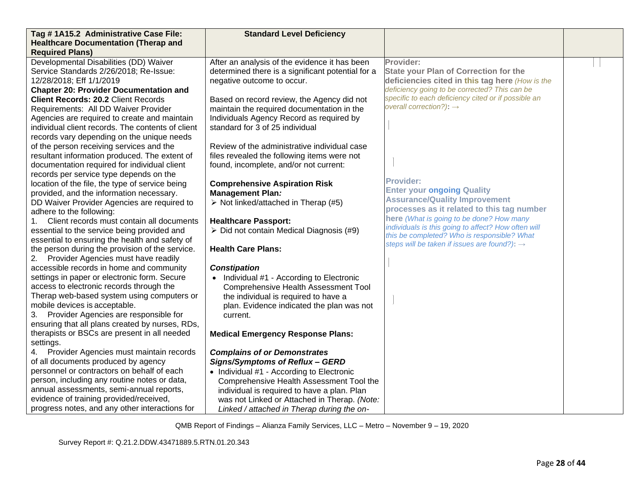| Tag #1A15.2 Administrative Case File:             | <b>Standard Level Deficiency</b>                    |                                                                                                         |  |
|---------------------------------------------------|-----------------------------------------------------|---------------------------------------------------------------------------------------------------------|--|
| <b>Healthcare Documentation (Therap and</b>       |                                                     |                                                                                                         |  |
| <b>Required Plans)</b>                            |                                                     |                                                                                                         |  |
| Developmental Disabilities (DD) Waiver            | After an analysis of the evidence it has been       | Provider:                                                                                               |  |
| Service Standards 2/26/2018; Re-Issue:            | determined there is a significant potential for a   | <b>State your Plan of Correction for the</b>                                                            |  |
| 12/28/2018; Eff 1/1/2019                          | negative outcome to occur.                          | deficiencies cited in this tag here (How is the                                                         |  |
| <b>Chapter 20: Provider Documentation and</b>     |                                                     | deficiency going to be corrected? This can be                                                           |  |
| <b>Client Records: 20.2 Client Records</b>        | Based on record review, the Agency did not          | specific to each deficiency cited or if possible an                                                     |  |
| Requirements: All DD Waiver Provider              | maintain the required documentation in the          | overall correction?): $\rightarrow$                                                                     |  |
| Agencies are required to create and maintain      | Individuals Agency Record as required by            |                                                                                                         |  |
| individual client records. The contents of client | standard for 3 of 25 individual                     |                                                                                                         |  |
| records vary depending on the unique needs        |                                                     |                                                                                                         |  |
| of the person receiving services and the          | Review of the administrative individual case        |                                                                                                         |  |
| resultant information produced. The extent of     | files revealed the following items were not         |                                                                                                         |  |
| documentation required for individual client      | found, incomplete, and/or not current:              |                                                                                                         |  |
| records per service type depends on the           |                                                     |                                                                                                         |  |
| location of the file, the type of service being   | <b>Comprehensive Aspiration Risk</b>                | <b>Provider:</b>                                                                                        |  |
| provided, and the information necessary.          | <b>Management Plan:</b>                             | <b>Enter your ongoing Quality</b>                                                                       |  |
| DD Waiver Provider Agencies are required to       | $\triangleright$ Not linked/attached in Therap (#5) | <b>Assurance/Quality Improvement</b>                                                                    |  |
| adhere to the following:                          |                                                     | processes as it related to this tag number                                                              |  |
| Client records must contain all documents         | <b>Healthcare Passport:</b>                         | here (What is going to be done? How many                                                                |  |
| essential to the service being provided and       | > Did not contain Medical Diagnosis (#9)            | individuals is this going to affect? How often will                                                     |  |
| essential to ensuring the health and safety of    |                                                     | this be completed? Who is responsible? What<br>steps will be taken if issues are found?): $\rightarrow$ |  |
| the person during the provision of the service.   | <b>Health Care Plans:</b>                           |                                                                                                         |  |
| 2.<br>Provider Agencies must have readily         |                                                     |                                                                                                         |  |
| accessible records in home and community          | <b>Constipation</b>                                 |                                                                                                         |  |
| settings in paper or electronic form. Secure      | • Individual #1 - According to Electronic           |                                                                                                         |  |
| access to electronic records through the          | <b>Comprehensive Health Assessment Tool</b>         |                                                                                                         |  |
| Therap web-based system using computers or        | the individual is required to have a                |                                                                                                         |  |
| mobile devices is acceptable.                     | plan. Evidence indicated the plan was not           |                                                                                                         |  |
| 3.<br>Provider Agencies are responsible for       | current.                                            |                                                                                                         |  |
| ensuring that all plans created by nurses, RDs,   |                                                     |                                                                                                         |  |
| therapists or BSCs are present in all needed      | <b>Medical Emergency Response Plans:</b>            |                                                                                                         |  |
| settings.                                         |                                                     |                                                                                                         |  |
| Provider Agencies must maintain records<br>4.     | <b>Complains of or Demonstrates</b>                 |                                                                                                         |  |
| of all documents produced by agency               | Signs/Symptoms of Reflux - GERD                     |                                                                                                         |  |
| personnel or contractors on behalf of each        | • Individual #1 - According to Electronic           |                                                                                                         |  |
| person, including any routine notes or data,      | Comprehensive Health Assessment Tool the            |                                                                                                         |  |
| annual assessments, semi-annual reports,          | individual is required to have a plan. Plan         |                                                                                                         |  |
| evidence of training provided/received,           | was not Linked or Attached in Therap. (Note:        |                                                                                                         |  |
| progress notes, and any other interactions for    | Linked / attached in Therap during the on-          |                                                                                                         |  |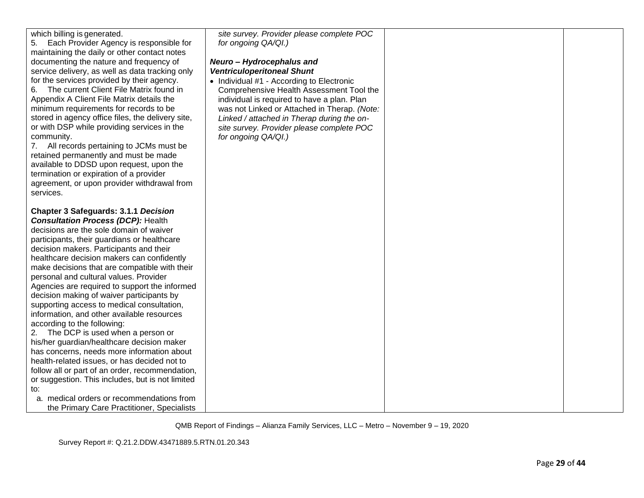| which billing is generated.<br>Each Provider Agency is responsible for<br>5.<br>maintaining the daily or other contact notes<br>documenting the nature and frequency of<br>service delivery, as well as data tracking only<br>for the services provided by their agency.<br>The current Client File Matrix found in<br>6.<br>Appendix A Client File Matrix details the<br>minimum requirements for records to be<br>stored in agency office files, the delivery site,<br>or with DSP while providing services in the<br>community.<br>7. All records pertaining to JCMs must be<br>retained permanently and must be made<br>available to DDSD upon request, upon the<br>termination or expiration of a provider<br>agreement, or upon provider withdrawal from<br>services.                                                                                                                                                                                                                    | site survey. Provider please complete POC<br>for ongoing QA/QI.)<br>Neuro - Hydrocephalus and<br><b>Ventriculoperitoneal Shunt</b><br>• Individual #1 - According to Electronic<br>Comprehensive Health Assessment Tool the<br>individual is required to have a plan. Plan<br>was not Linked or Attached in Therap. (Note:<br>Linked / attached in Therap during the on-<br>site survey. Provider please complete POC<br>for ongoing QA/QI.) |  |
|------------------------------------------------------------------------------------------------------------------------------------------------------------------------------------------------------------------------------------------------------------------------------------------------------------------------------------------------------------------------------------------------------------------------------------------------------------------------------------------------------------------------------------------------------------------------------------------------------------------------------------------------------------------------------------------------------------------------------------------------------------------------------------------------------------------------------------------------------------------------------------------------------------------------------------------------------------------------------------------------|----------------------------------------------------------------------------------------------------------------------------------------------------------------------------------------------------------------------------------------------------------------------------------------------------------------------------------------------------------------------------------------------------------------------------------------------|--|
| <b>Chapter 3 Safeguards: 3.1.1 Decision</b><br><b>Consultation Process (DCP): Health</b><br>decisions are the sole domain of waiver<br>participants, their guardians or healthcare<br>decision makers. Participants and their<br>healthcare decision makers can confidently<br>make decisions that are compatible with their<br>personal and cultural values. Provider<br>Agencies are required to support the informed<br>decision making of waiver participants by<br>supporting access to medical consultation,<br>information, and other available resources<br>according to the following:<br>The DCP is used when a person or<br>2.<br>his/her guardian/healthcare decision maker<br>has concerns, needs more information about<br>health-related issues, or has decided not to<br>follow all or part of an order, recommendation,<br>or suggestion. This includes, but is not limited<br>to:<br>a. medical orders or recommendations from<br>the Primary Care Practitioner, Specialists |                                                                                                                                                                                                                                                                                                                                                                                                                                              |  |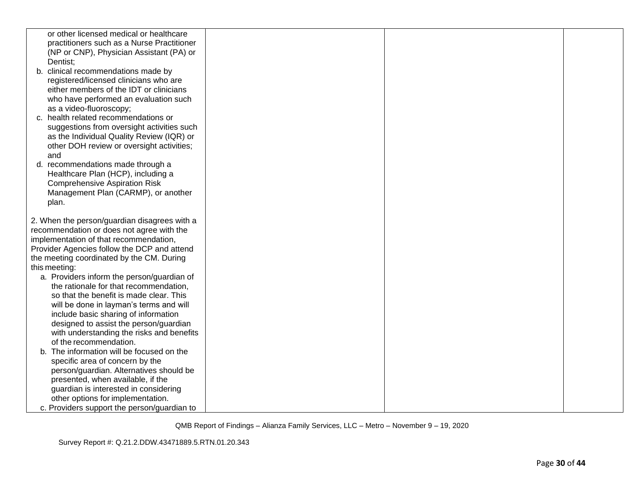| or other licensed medical or healthcare      |  |  |
|----------------------------------------------|--|--|
| practitioners such as a Nurse Practitioner   |  |  |
| (NP or CNP), Physician Assistant (PA) or     |  |  |
| Dentist;                                     |  |  |
| b. clinical recommendations made by          |  |  |
| registered/licensed clinicians who are       |  |  |
| either members of the IDT or clinicians      |  |  |
| who have performed an evaluation such        |  |  |
| as a video-fluoroscopy;                      |  |  |
| c. health related recommendations or         |  |  |
| suggestions from oversight activities such   |  |  |
| as the Individual Quality Review (IQR) or    |  |  |
| other DOH review or oversight activities;    |  |  |
| and                                          |  |  |
| d. recommendations made through a            |  |  |
| Healthcare Plan (HCP), including a           |  |  |
| <b>Comprehensive Aspiration Risk</b>         |  |  |
| Management Plan (CARMP), or another          |  |  |
| plan.                                        |  |  |
|                                              |  |  |
| 2. When the person/guardian disagrees with a |  |  |
| recommendation or does not agree with the    |  |  |
| implementation of that recommendation,       |  |  |
| Provider Agencies follow the DCP and attend  |  |  |
| the meeting coordinated by the CM. During    |  |  |
| this meeting:                                |  |  |
| a. Providers inform the person/guardian of   |  |  |
| the rationale for that recommendation,       |  |  |
| so that the benefit is made clear. This      |  |  |
| will be done in layman's terms and will      |  |  |
| include basic sharing of information         |  |  |
| designed to assist the person/guardian       |  |  |
| with understanding the risks and benefits    |  |  |
| of the recommendation.                       |  |  |
| b. The information will be focused on the    |  |  |
| specific area of concern by the              |  |  |
| person/guardian. Alternatives should be      |  |  |
| presented, when available, if the            |  |  |
| guardian is interested in considering        |  |  |
| other options for implementation.            |  |  |
| c. Providers support the person/guardian to  |  |  |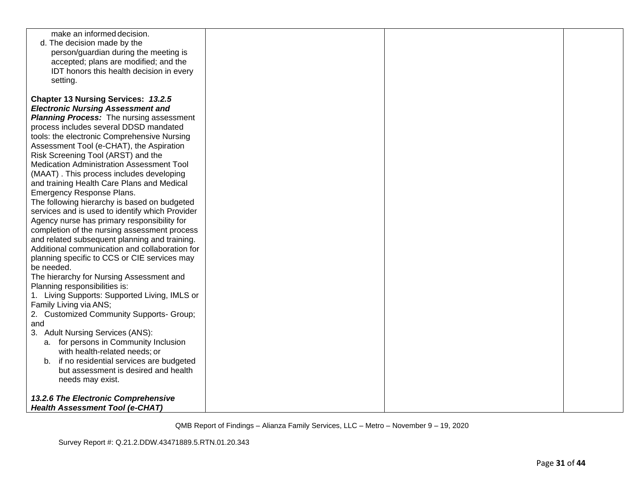| make an informed decision.                      |  |  |
|-------------------------------------------------|--|--|
| d. The decision made by the                     |  |  |
| person/guardian during the meeting is           |  |  |
| accepted; plans are modified; and the           |  |  |
| IDT honors this health decision in every        |  |  |
| setting.                                        |  |  |
|                                                 |  |  |
| Chapter 13 Nursing Services: 13.2.5             |  |  |
| <b>Electronic Nursing Assessment and</b>        |  |  |
| <b>Planning Process:</b> The nursing assessment |  |  |
| process includes several DDSD mandated          |  |  |
| tools: the electronic Comprehensive Nursing     |  |  |
| Assessment Tool (e-CHAT), the Aspiration        |  |  |
| Risk Screening Tool (ARST) and the              |  |  |
| Medication Administration Assessment Tool       |  |  |
| (MAAT). This process includes developing        |  |  |
| and training Health Care Plans and Medical      |  |  |
| Emergency Response Plans.                       |  |  |
| The following hierarchy is based on budgeted    |  |  |
| services and is used to identify which Provider |  |  |
| Agency nurse has primary responsibility for     |  |  |
| completion of the nursing assessment process    |  |  |
| and related subsequent planning and training.   |  |  |
| Additional communication and collaboration for  |  |  |
| planning specific to CCS or CIE services may    |  |  |
| be needed.                                      |  |  |
| The hierarchy for Nursing Assessment and        |  |  |
| Planning responsibilities is:                   |  |  |
| 1. Living Supports: Supported Living, IMLS or   |  |  |
| Family Living via ANS;                          |  |  |
| 2. Customized Community Supports- Group;        |  |  |
| and                                             |  |  |
| 3. Adult Nursing Services (ANS):                |  |  |
| a. for persons in Community Inclusion           |  |  |
| with health-related needs; or                   |  |  |
| b. if no residential services are budgeted      |  |  |
| but assessment is desired and health            |  |  |
| needs may exist.                                |  |  |
|                                                 |  |  |
| 13.2.6 The Electronic Comprehensive             |  |  |
| <b>Health Assessment Tool (e-CHAT)</b>          |  |  |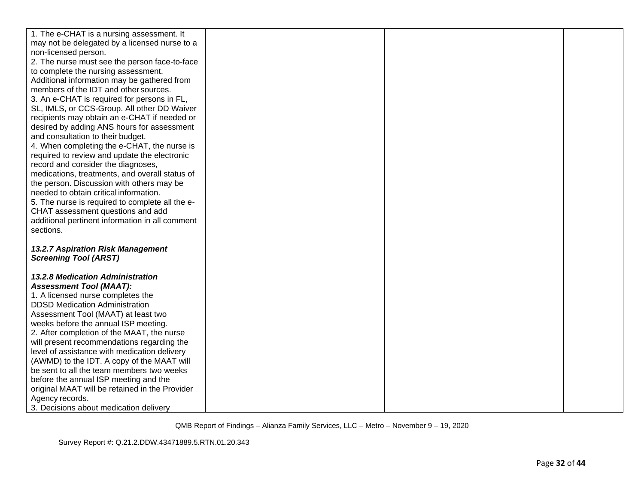| 1. The e-CHAT is a nursing assessment. It                         |  |  |
|-------------------------------------------------------------------|--|--|
| may not be delegated by a licensed nurse to a                     |  |  |
| non-licensed person.                                              |  |  |
| 2. The nurse must see the person face-to-face                     |  |  |
| to complete the nursing assessment.                               |  |  |
| Additional information may be gathered from                       |  |  |
| members of the IDT and other sources.                             |  |  |
| 3. An e-CHAT is required for persons in FL,                       |  |  |
| SL, IMLS, or CCS-Group. All other DD Waiver                       |  |  |
| recipients may obtain an e-CHAT if needed or                      |  |  |
| desired by adding ANS hours for assessment                        |  |  |
| and consultation to their budget.                                 |  |  |
| 4. When completing the e-CHAT, the nurse is                       |  |  |
| required to review and update the electronic                      |  |  |
| record and consider the diagnoses,                                |  |  |
| medications, treatments, and overall status of                    |  |  |
| the person. Discussion with others may be                         |  |  |
| needed to obtain critical information.                            |  |  |
| 5. The nurse is required to complete all the e-                   |  |  |
| CHAT assessment questions and add                                 |  |  |
| additional pertinent information in all comment                   |  |  |
| sections.                                                         |  |  |
|                                                                   |  |  |
| 13.2.7 Aspiration Risk Management<br><b>Screening Tool (ARST)</b> |  |  |
|                                                                   |  |  |
| <b>13.2.8 Medication Administration</b>                           |  |  |
| <b>Assessment Tool (MAAT):</b>                                    |  |  |
| 1. A licensed nurse completes the                                 |  |  |
| <b>DDSD Medication Administration</b>                             |  |  |
| Assessment Tool (MAAT) at least two                               |  |  |
| weeks before the annual ISP meeting.                              |  |  |
| 2. After completion of the MAAT, the nurse                        |  |  |
| will present recommendations regarding the                        |  |  |
| level of assistance with medication delivery                      |  |  |
| (AWMD) to the IDT. A copy of the MAAT will                        |  |  |
| be sent to all the team members two weeks                         |  |  |
| before the annual ISP meeting and the                             |  |  |
| original MAAT will be retained in the Provider                    |  |  |
| Agency records.                                                   |  |  |
| 3. Decisions about medication delivery                            |  |  |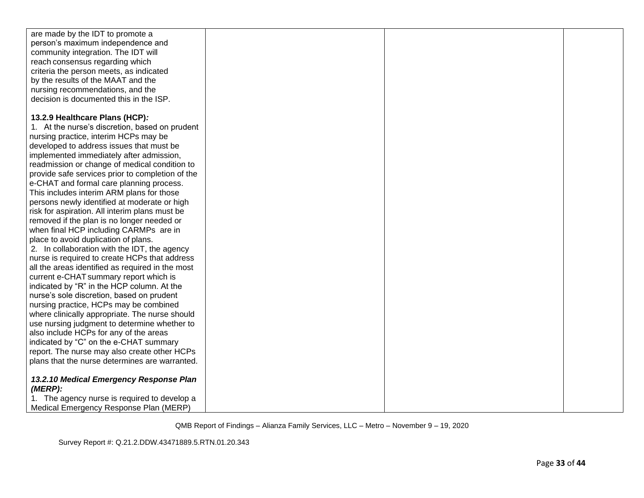| are made by the IDT to promote a                 |  |  |
|--------------------------------------------------|--|--|
| person's maximum independence and                |  |  |
| community integration. The IDT will              |  |  |
| reach consensus regarding which                  |  |  |
| criteria the person meets, as indicated          |  |  |
| by the results of the MAAT and the               |  |  |
| nursing recommendations, and the                 |  |  |
| decision is documented this in the ISP.          |  |  |
|                                                  |  |  |
| 13.2.9 Healthcare Plans (HCP):                   |  |  |
| 1. At the nurse's discretion, based on prudent   |  |  |
| nursing practice, interim HCPs may be            |  |  |
| developed to address issues that must be         |  |  |
| implemented immediately after admission,         |  |  |
| readmission or change of medical condition to    |  |  |
| provide safe services prior to completion of the |  |  |
| e-CHAT and formal care planning process.         |  |  |
| This includes interim ARM plans for those        |  |  |
| persons newly identified at moderate or high     |  |  |
| risk for aspiration. All interim plans must be   |  |  |
| removed if the plan is no longer needed or       |  |  |
| when final HCP including CARMPs are in           |  |  |
| place to avoid duplication of plans.             |  |  |
| 2. In collaboration with the IDT, the agency     |  |  |
| nurse is required to create HCPs that address    |  |  |
| all the areas identified as required in the most |  |  |
| current e-CHAT summary report which is           |  |  |
| indicated by "R" in the HCP column. At the       |  |  |
| nurse's sole discretion, based on prudent        |  |  |
| nursing practice, HCPs may be combined           |  |  |
| where clinically appropriate. The nurse should   |  |  |
| use nursing judgment to determine whether to     |  |  |
| also include HCPs for any of the areas           |  |  |
| indicated by "C" on the e-CHAT summary           |  |  |
| report. The nurse may also create other HCPs     |  |  |
| plans that the nurse determines are warranted.   |  |  |
|                                                  |  |  |
| 13.2.10 Medical Emergency Response Plan          |  |  |
| (MERP):                                          |  |  |
| 1. The agency nurse is required to develop a     |  |  |
| Medical Emergency Response Plan (MERP)           |  |  |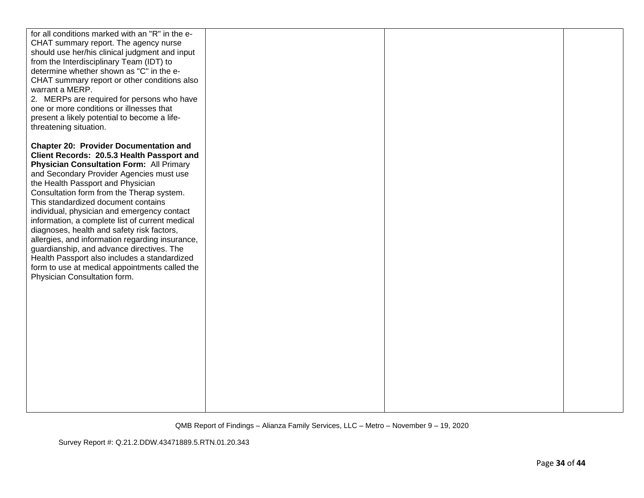| for all conditions marked with an "R" in the e-                                             |  |  |
|---------------------------------------------------------------------------------------------|--|--|
| CHAT summary report. The agency nurse                                                       |  |  |
| should use her/his clinical judgment and input                                              |  |  |
| from the Interdisciplinary Team (IDT) to                                                    |  |  |
| determine whether shown as "C" in the e-                                                    |  |  |
| CHAT summary report or other conditions also                                                |  |  |
| warrant a MERP.                                                                             |  |  |
| 2. MERPs are required for persons who have                                                  |  |  |
| one or more conditions or illnesses that                                                    |  |  |
| present a likely potential to become a life-                                                |  |  |
| threatening situation.                                                                      |  |  |
|                                                                                             |  |  |
| <b>Chapter 20: Provider Documentation and</b><br>Client Records: 20.5.3 Health Passport and |  |  |
| <b>Physician Consultation Form: All Primary</b>                                             |  |  |
| and Secondary Provider Agencies must use                                                    |  |  |
| the Health Passport and Physician                                                           |  |  |
| Consultation form from the Therap system.                                                   |  |  |
| This standardized document contains                                                         |  |  |
| individual, physician and emergency contact                                                 |  |  |
| information, a complete list of current medical                                             |  |  |
| diagnoses, health and safety risk factors,                                                  |  |  |
| allergies, and information regarding insurance,                                             |  |  |
| guardianship, and advance directives. The                                                   |  |  |
| Health Passport also includes a standardized                                                |  |  |
| form to use at medical appointments called the                                              |  |  |
| Physician Consultation form.                                                                |  |  |
|                                                                                             |  |  |
|                                                                                             |  |  |
|                                                                                             |  |  |
|                                                                                             |  |  |
|                                                                                             |  |  |
|                                                                                             |  |  |
|                                                                                             |  |  |
|                                                                                             |  |  |
|                                                                                             |  |  |
|                                                                                             |  |  |
|                                                                                             |  |  |
|                                                                                             |  |  |
|                                                                                             |  |  |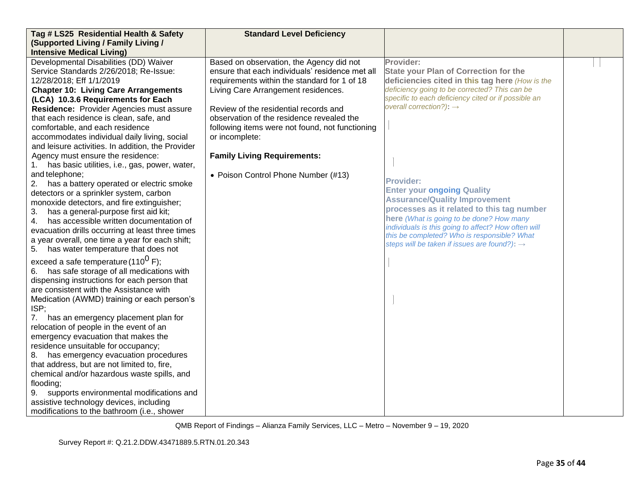| Tag # LS25 Residential Health & Safety              | <b>Standard Level Deficiency</b>                |                                                          |  |
|-----------------------------------------------------|-------------------------------------------------|----------------------------------------------------------|--|
| (Supported Living / Family Living /                 |                                                 |                                                          |  |
| <b>Intensive Medical Living)</b>                    |                                                 |                                                          |  |
| Developmental Disabilities (DD) Waiver              | Based on observation, the Agency did not        | Provider:                                                |  |
| Service Standards 2/26/2018; Re-Issue:              | ensure that each individuals' residence met all | <b>State your Plan of Correction for the</b>             |  |
| 12/28/2018; Eff 1/1/2019                            | requirements within the standard for 1 of 18    | deficiencies cited in this tag here (How is the          |  |
| <b>Chapter 10: Living Care Arrangements</b>         | Living Care Arrangement residences.             | deficiency going to be corrected? This can be            |  |
| (LCA) 10.3.6 Requirements for Each                  |                                                 | specific to each deficiency cited or if possible an      |  |
| Residence: Provider Agencies must assure            | Review of the residential records and           | overall correction?): $\rightarrow$                      |  |
| that each residence is clean, safe, and             | observation of the residence revealed the       |                                                          |  |
| comfortable, and each residence                     | following items were not found, not functioning |                                                          |  |
| accommodates individual daily living, social        | or incomplete:                                  |                                                          |  |
| and leisure activities. In addition, the Provider   |                                                 |                                                          |  |
| Agency must ensure the residence:                   | <b>Family Living Requirements:</b>              |                                                          |  |
| has basic utilities, i.e., gas, power, water,<br>1. |                                                 |                                                          |  |
| and telephone;                                      | • Poison Control Phone Number (#13)             | <b>Provider:</b>                                         |  |
| 2.<br>has a battery operated or electric smoke      |                                                 | <b>Enter your ongoing Quality</b>                        |  |
| detectors or a sprinkler system, carbon             |                                                 | <b>Assurance/Quality Improvement</b>                     |  |
| monoxide detectors, and fire extinguisher;          |                                                 | processes as it related to this tag number               |  |
| has a general-purpose first aid kit;<br>3.          |                                                 | here (What is going to be done? How many                 |  |
| has accessible written documentation of<br>4.       |                                                 | individuals is this going to affect? How often will      |  |
| evacuation drills occurring at least three times    |                                                 | this be completed? Who is responsible? What              |  |
| a year overall, one time a year for each shift;     |                                                 | steps will be taken if issues are found?): $\rightarrow$ |  |
| has water temperature that does not<br>5.           |                                                 |                                                          |  |
| exceed a safe temperature (110 <sup>0</sup> F);     |                                                 |                                                          |  |
| has safe storage of all medications with<br>6.      |                                                 |                                                          |  |
| dispensing instructions for each person that        |                                                 |                                                          |  |
| are consistent with the Assistance with             |                                                 |                                                          |  |
| Medication (AWMD) training or each person's         |                                                 |                                                          |  |
| ISP;                                                |                                                 |                                                          |  |
| 7.<br>has an emergency placement plan for           |                                                 |                                                          |  |
| relocation of people in the event of an             |                                                 |                                                          |  |
| emergency evacuation that makes the                 |                                                 |                                                          |  |
| residence unsuitable for occupancy;                 |                                                 |                                                          |  |
| 8. has emergency evacuation procedures              |                                                 |                                                          |  |
| that address, but are not limited to, fire,         |                                                 |                                                          |  |
| chemical and/or hazardous waste spills, and         |                                                 |                                                          |  |
| flooding;                                           |                                                 |                                                          |  |
| 9.<br>supports environmental modifications and      |                                                 |                                                          |  |
| assistive technology devices, including             |                                                 |                                                          |  |
| modifications to the bathroom (i.e., shower         |                                                 |                                                          |  |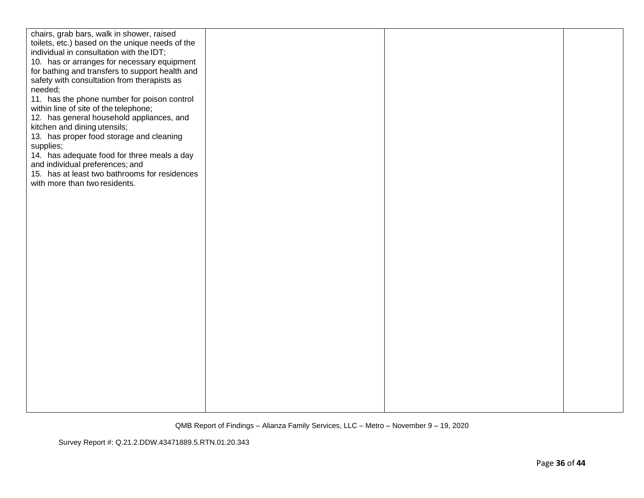| chairs, grab bars, walk in shower, raised       |  |  |
|-------------------------------------------------|--|--|
| toilets, etc.) based on the unique needs of the |  |  |
| individual in consultation with the IDT;        |  |  |
| 10. has or arranges for necessary equipment     |  |  |
| for bathing and transfers to support health and |  |  |
| safety with consultation from therapists as     |  |  |
| needed;                                         |  |  |
| 11. has the phone number for poison control     |  |  |
| within line of site of the telephone;           |  |  |
| 12. has general household appliances, and       |  |  |
| kitchen and dining utensils;                    |  |  |
| 13. has proper food storage and cleaning        |  |  |
| supplies;                                       |  |  |
| 14. has adequate food for three meals a day     |  |  |
| and individual preferences; and                 |  |  |
| 15. has at least two bathrooms for residences   |  |  |
| with more than two residents.                   |  |  |
|                                                 |  |  |
|                                                 |  |  |
|                                                 |  |  |
|                                                 |  |  |
|                                                 |  |  |
|                                                 |  |  |
|                                                 |  |  |
|                                                 |  |  |
|                                                 |  |  |
|                                                 |  |  |
|                                                 |  |  |
|                                                 |  |  |
|                                                 |  |  |
|                                                 |  |  |
|                                                 |  |  |
|                                                 |  |  |
|                                                 |  |  |
|                                                 |  |  |
|                                                 |  |  |
|                                                 |  |  |
|                                                 |  |  |
|                                                 |  |  |
|                                                 |  |  |
|                                                 |  |  |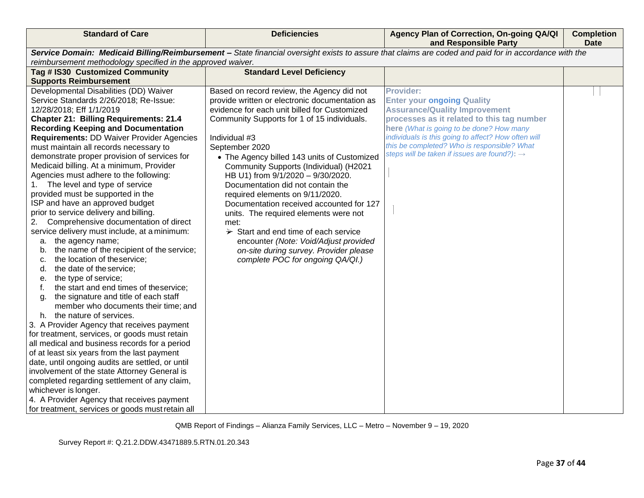| <b>Standard of Care</b>                                                                                                                                                                                              | <b>Deficiencies</b>                              | Agency Plan of Correction, On-going QA/QI<br>and Responsible Party                                      | <b>Completion</b><br><b>Date</b> |
|----------------------------------------------------------------------------------------------------------------------------------------------------------------------------------------------------------------------|--------------------------------------------------|---------------------------------------------------------------------------------------------------------|----------------------------------|
| Service Domain: Medicaid Billing/Reimbursement - State financial oversight exists to assure that claims are coded and paid for in accordance with the<br>reimbursement methodology specified in the approved waiver. |                                                  |                                                                                                         |                                  |
| Tag # IS30 Customized Community                                                                                                                                                                                      | <b>Standard Level Deficiency</b>                 |                                                                                                         |                                  |
| <b>Supports Reimbursement</b>                                                                                                                                                                                        |                                                  |                                                                                                         |                                  |
| Developmental Disabilities (DD) Waiver                                                                                                                                                                               | Based on record review, the Agency did not       | <b>Provider:</b>                                                                                        |                                  |
| Service Standards 2/26/2018; Re-Issue:                                                                                                                                                                               | provide written or electronic documentation as   | <b>Enter your ongoing Quality</b>                                                                       |                                  |
| 12/28/2018; Eff 1/1/2019                                                                                                                                                                                             | evidence for each unit billed for Customized     | <b>Assurance/Quality Improvement</b>                                                                    |                                  |
| <b>Chapter 21: Billing Requirements: 21.4</b>                                                                                                                                                                        | Community Supports for 1 of 15 individuals.      | processes as it related to this tag number                                                              |                                  |
| <b>Recording Keeping and Documentation</b>                                                                                                                                                                           |                                                  | here (What is going to be done? How many                                                                |                                  |
| <b>Requirements: DD Waiver Provider Agencies</b>                                                                                                                                                                     | Individual #3                                    | individuals is this going to affect? How often will                                                     |                                  |
| must maintain all records necessary to                                                                                                                                                                               | September 2020                                   | this be completed? Who is responsible? What<br>steps will be taken if issues are found?): $\rightarrow$ |                                  |
| demonstrate proper provision of services for                                                                                                                                                                         | • The Agency billed 143 units of Customized      |                                                                                                         |                                  |
| Medicaid billing. At a minimum, Provider                                                                                                                                                                             | Community Supports (Individual) (H2021           |                                                                                                         |                                  |
| Agencies must adhere to the following:                                                                                                                                                                               | HB U1) from 9/1/2020 - 9/30/2020.                |                                                                                                         |                                  |
| The level and type of service<br>1.                                                                                                                                                                                  | Documentation did not contain the                |                                                                                                         |                                  |
| provided must be supported in the                                                                                                                                                                                    | required elements on 9/11/2020.                  |                                                                                                         |                                  |
| ISP and have an approved budget<br>prior to service delivery and billing.                                                                                                                                            | Documentation received accounted for 127         |                                                                                                         |                                  |
| Comprehensive documentation of direct<br>2.                                                                                                                                                                          | units. The required elements were not<br>met:    |                                                                                                         |                                  |
| service delivery must include, at a minimum:                                                                                                                                                                         | $\rightarrow$ Start and end time of each service |                                                                                                         |                                  |
| a. the agency name;                                                                                                                                                                                                  | encounter (Note: Void/Adjust provided            |                                                                                                         |                                  |
| the name of the recipient of the service;<br>b.                                                                                                                                                                      | on-site during survey. Provider please           |                                                                                                         |                                  |
| the location of theservice;<br>c.                                                                                                                                                                                    | complete POC for ongoing QA/QI.)                 |                                                                                                         |                                  |
| the date of the service;<br>d.                                                                                                                                                                                       |                                                  |                                                                                                         |                                  |
| the type of service;<br>е.                                                                                                                                                                                           |                                                  |                                                                                                         |                                  |
| the start and end times of theservice;<br>f.                                                                                                                                                                         |                                                  |                                                                                                         |                                  |
| the signature and title of each staff<br>a.                                                                                                                                                                          |                                                  |                                                                                                         |                                  |
| member who documents their time; and                                                                                                                                                                                 |                                                  |                                                                                                         |                                  |
| h. the nature of services.                                                                                                                                                                                           |                                                  |                                                                                                         |                                  |
| 3. A Provider Agency that receives payment                                                                                                                                                                           |                                                  |                                                                                                         |                                  |
| for treatment, services, or goods must retain                                                                                                                                                                        |                                                  |                                                                                                         |                                  |
| all medical and business records for a period                                                                                                                                                                        |                                                  |                                                                                                         |                                  |
| of at least six years from the last payment                                                                                                                                                                          |                                                  |                                                                                                         |                                  |
| date, until ongoing audits are settled, or until                                                                                                                                                                     |                                                  |                                                                                                         |                                  |
| involvement of the state Attorney General is                                                                                                                                                                         |                                                  |                                                                                                         |                                  |
| completed regarding settlement of any claim,                                                                                                                                                                         |                                                  |                                                                                                         |                                  |
| whichever is longer.                                                                                                                                                                                                 |                                                  |                                                                                                         |                                  |
| 4. A Provider Agency that receives payment                                                                                                                                                                           |                                                  |                                                                                                         |                                  |
| for treatment, services or goods must retain all                                                                                                                                                                     |                                                  |                                                                                                         |                                  |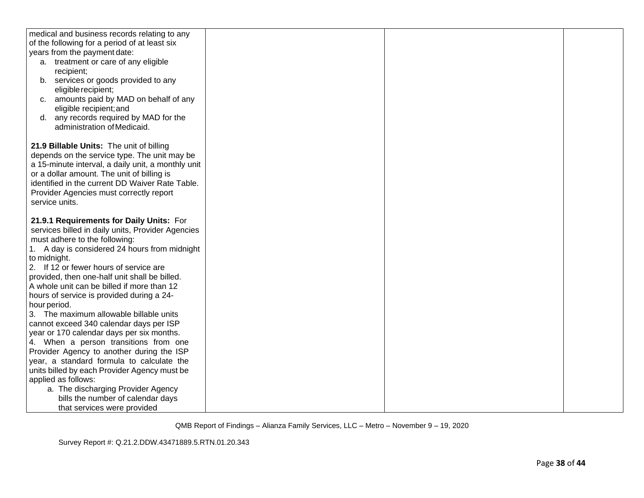| medical and business records relating to any       |  |  |
|----------------------------------------------------|--|--|
| of the following for a period of at least six      |  |  |
| years from the payment date:                       |  |  |
| a. treatment or care of any eligible               |  |  |
| recipient;                                         |  |  |
| b. services or goods provided to any               |  |  |
| eligible recipient;                                |  |  |
| c. amounts paid by MAD on behalf of any            |  |  |
| eligible recipient; and                            |  |  |
| any records required by MAD for the<br>d.          |  |  |
| administration of Medicaid.                        |  |  |
|                                                    |  |  |
| 21.9 Billable Units: The unit of billing           |  |  |
| depends on the service type. The unit may be       |  |  |
| a 15-minute interval, a daily unit, a monthly unit |  |  |
| or a dollar amount. The unit of billing is         |  |  |
| identified in the current DD Waiver Rate Table.    |  |  |
| Provider Agencies must correctly report            |  |  |
| service units.                                     |  |  |
|                                                    |  |  |
| 21.9.1 Requirements for Daily Units: For           |  |  |
| services billed in daily units, Provider Agencies  |  |  |
| must adhere to the following:                      |  |  |
| 1. A day is considered 24 hours from midnight      |  |  |
| to midnight.                                       |  |  |
| 2. If 12 or fewer hours of service are             |  |  |
| provided, then one-half unit shall be billed.      |  |  |
| A whole unit can be billed if more than 12         |  |  |
| hours of service is provided during a 24-          |  |  |
| hour period.                                       |  |  |
| 3. The maximum allowable billable units            |  |  |
| cannot exceed 340 calendar days per ISP            |  |  |
| year or 170 calendar days per six months.          |  |  |
| 4. When a person transitions from one              |  |  |
| Provider Agency to another during the ISP          |  |  |
| year, a standard formula to calculate the          |  |  |
| units billed by each Provider Agency must be       |  |  |
| applied as follows:                                |  |  |
| a. The discharging Provider Agency                 |  |  |
| bills the number of calendar days                  |  |  |
| that services were provided                        |  |  |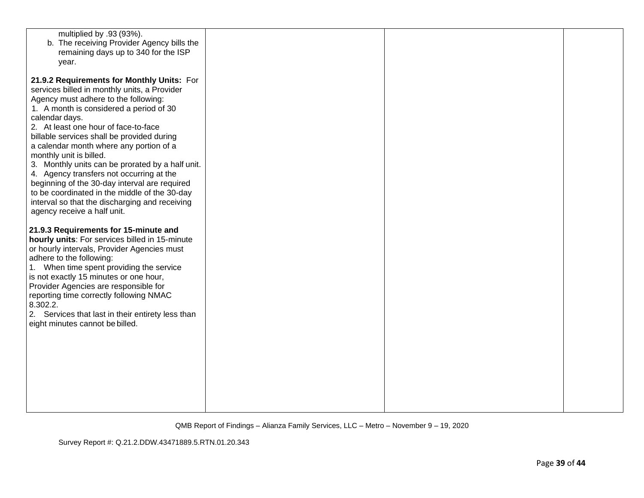| multiplied by .93 (93%).<br>b. The receiving Provider Agency bills the<br>remaining days up to 340 for the ISP<br>year.                                                                                                                                                                                                                                                                                                                                                                                                                                                                                                                        |  |  |
|------------------------------------------------------------------------------------------------------------------------------------------------------------------------------------------------------------------------------------------------------------------------------------------------------------------------------------------------------------------------------------------------------------------------------------------------------------------------------------------------------------------------------------------------------------------------------------------------------------------------------------------------|--|--|
| 21.9.2 Requirements for Monthly Units: For<br>services billed in monthly units, a Provider<br>Agency must adhere to the following:<br>1. A month is considered a period of 30<br>calendar days.<br>2. At least one hour of face-to-face<br>billable services shall be provided during<br>a calendar month where any portion of a<br>monthly unit is billed.<br>3. Monthly units can be prorated by a half unit.<br>4. Agency transfers not occurring at the<br>beginning of the 30-day interval are required<br>to be coordinated in the middle of the 30-day<br>interval so that the discharging and receiving<br>agency receive a half unit. |  |  |
| 21.9.3 Requirements for 15-minute and<br>hourly units: For services billed in 15-minute<br>or hourly intervals, Provider Agencies must<br>adhere to the following:<br>1. When time spent providing the service<br>is not exactly 15 minutes or one hour,<br>Provider Agencies are responsible for<br>reporting time correctly following NMAC<br>8.302.2.<br>2. Services that last in their entirety less than<br>eight minutes cannot be billed.                                                                                                                                                                                               |  |  |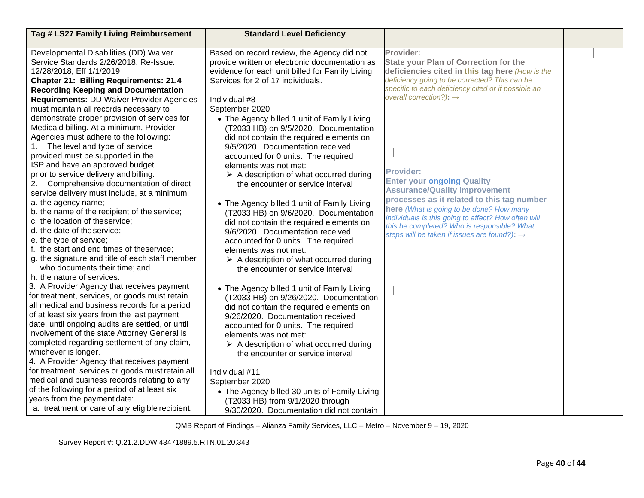| Tag # LS27 Family Living Reimbursement           | <b>Standard Level Deficiency</b>                       |                                                                                                 |  |
|--------------------------------------------------|--------------------------------------------------------|-------------------------------------------------------------------------------------------------|--|
|                                                  |                                                        |                                                                                                 |  |
| Developmental Disabilities (DD) Waiver           | Based on record review, the Agency did not             | Provider:                                                                                       |  |
| Service Standards 2/26/2018; Re-Issue:           | provide written or electronic documentation as         | <b>State your Plan of Correction for the</b>                                                    |  |
| 12/28/2018; Eff 1/1/2019                         | evidence for each unit billed for Family Living        | deficiencies cited in this tag here (How is the                                                 |  |
| <b>Chapter 21: Billing Requirements: 21.4</b>    | Services for 2 of 17 individuals.                      | deficiency going to be corrected? This can be                                                   |  |
| <b>Recording Keeping and Documentation</b>       |                                                        | specific to each deficiency cited or if possible an<br>overall correction?): $\rightarrow$      |  |
| <b>Requirements: DD Waiver Provider Agencies</b> | Individual #8                                          |                                                                                                 |  |
| must maintain all records necessary to           | September 2020                                         |                                                                                                 |  |
| demonstrate proper provision of services for     | • The Agency billed 1 unit of Family Living            |                                                                                                 |  |
| Medicaid billing. At a minimum, Provider         | (T2033 HB) on 9/5/2020. Documentation                  |                                                                                                 |  |
| Agencies must adhere to the following:           | did not contain the required elements on               |                                                                                                 |  |
| The level and type of service                    | 9/5/2020. Documentation received                       |                                                                                                 |  |
| provided must be supported in the                | accounted for 0 units. The required                    |                                                                                                 |  |
| ISP and have an approved budget                  | elements was not met:                                  | <b>Provider:</b>                                                                                |  |
| prior to service delivery and billing.           | $\triangleright$ A description of what occurred during |                                                                                                 |  |
| Comprehensive documentation of direct<br>2.      | the encounter or service interval                      | <b>Enter your ongoing Quality</b><br><b>Assurance/Quality Improvement</b>                       |  |
| service delivery must include, at a minimum:     |                                                        | processes as it related to this tag number                                                      |  |
| a. the agency name;                              | • The Agency billed 1 unit of Family Living            |                                                                                                 |  |
| b. the name of the recipient of the service;     | (T2033 HB) on 9/6/2020. Documentation                  | here (What is going to be done? How many<br>individuals is this going to affect? How often will |  |
| c. the location of theservice;                   | did not contain the required elements on               | this be completed? Who is responsible? What                                                     |  |
| d. the date of the service;                      | 9/6/2020. Documentation received                       | steps will be taken if issues are found?): $\rightarrow$                                        |  |
| e. the type of service;                          | accounted for 0 units. The required                    |                                                                                                 |  |
| f. the start and end times of theservice;        | elements was not met:                                  |                                                                                                 |  |
| g. the signature and title of each staff member  | $\triangleright$ A description of what occurred during |                                                                                                 |  |
| who documents their time; and                    | the encounter or service interval                      |                                                                                                 |  |
| h. the nature of services.                       |                                                        |                                                                                                 |  |
| 3. A Provider Agency that receives payment       | • The Agency billed 1 unit of Family Living            |                                                                                                 |  |
| for treatment, services, or goods must retain    | (T2033 HB) on 9/26/2020. Documentation                 |                                                                                                 |  |
| all medical and business records for a period    | did not contain the required elements on               |                                                                                                 |  |
| of at least six years from the last payment      | 9/26/2020. Documentation received                      |                                                                                                 |  |
| date, until ongoing audits are settled, or until | accounted for 0 units. The required                    |                                                                                                 |  |
| involvement of the state Attorney General is     | elements was not met:                                  |                                                                                                 |  |
| completed regarding settlement of any claim,     | $\triangleright$ A description of what occurred during |                                                                                                 |  |
| whichever is longer.                             | the encounter or service interval                      |                                                                                                 |  |
| 4. A Provider Agency that receives payment       |                                                        |                                                                                                 |  |
| for treatment, services or goods must retain all | Individual #11                                         |                                                                                                 |  |
| medical and business records relating to any     | September 2020                                         |                                                                                                 |  |
| of the following for a period of at least six    | • The Agency billed 30 units of Family Living          |                                                                                                 |  |
| years from the payment date:                     | (T2033 HB) from 9/1/2020 through                       |                                                                                                 |  |
| a. treatment or care of any eligible recipient;  | 9/30/2020. Documentation did not contain               |                                                                                                 |  |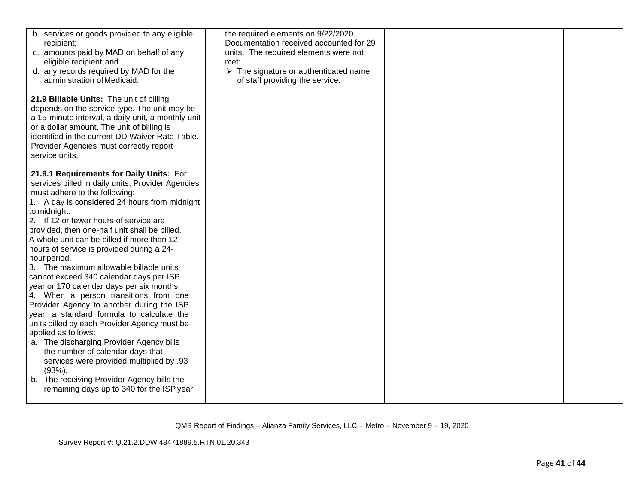| b. services or goods provided to any eligible<br>recipient;<br>c. amounts paid by MAD on behalf of any<br>eligible recipient; and<br>d. any records required by MAD for the<br>administration of Medicaid.<br>21.9 Billable Units: The unit of billing                                                                                                                                                                                           | the required elements on 9/22/2020.<br>Documentation received accounted for 29<br>units. The required elements were not<br>met:<br>$\triangleright$ The signature or authenticated name<br>of staff providing the service. |  |
|--------------------------------------------------------------------------------------------------------------------------------------------------------------------------------------------------------------------------------------------------------------------------------------------------------------------------------------------------------------------------------------------------------------------------------------------------|----------------------------------------------------------------------------------------------------------------------------------------------------------------------------------------------------------------------------|--|
| depends on the service type. The unit may be<br>a 15-minute interval, a daily unit, a monthly unit<br>or a dollar amount. The unit of billing is<br>identified in the current DD Waiver Rate Table.<br>Provider Agencies must correctly report<br>service units.                                                                                                                                                                                 |                                                                                                                                                                                                                            |  |
| 21.9.1 Requirements for Daily Units: For<br>services billed in daily units, Provider Agencies<br>must adhere to the following:<br>1. A day is considered 24 hours from midnight<br>to midnight.<br>2. If 12 or fewer hours of service are<br>provided, then one-half unit shall be billed.<br>A whole unit can be billed if more than 12<br>hours of service is provided during a 24-<br>hour period.<br>3. The maximum allowable billable units |                                                                                                                                                                                                                            |  |
| cannot exceed 340 calendar days per ISP<br>year or 170 calendar days per six months.<br>4. When a person transitions from one<br>Provider Agency to another during the ISP<br>year, a standard formula to calculate the<br>units billed by each Provider Agency must be<br>applied as follows:<br>a. The discharging Provider Agency bills<br>the number of calendar days that<br>services were provided multiplied by .93<br>$(93%)$ .          |                                                                                                                                                                                                                            |  |
| b. The receiving Provider Agency bills the<br>remaining days up to 340 for the ISP year.                                                                                                                                                                                                                                                                                                                                                         |                                                                                                                                                                                                                            |  |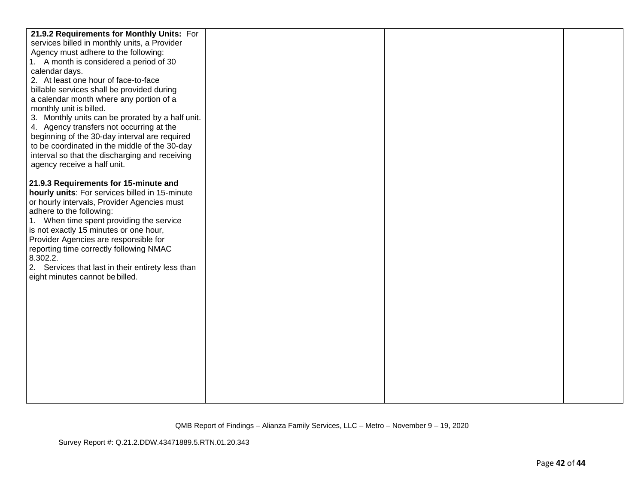| 21.9.2 Requirements for Monthly Units: For        |  |  |
|---------------------------------------------------|--|--|
| services billed in monthly units, a Provider      |  |  |
| Agency must adhere to the following:              |  |  |
| 1. A month is considered a period of 30           |  |  |
| calendar days.                                    |  |  |
| 2. At least one hour of face-to-face              |  |  |
| billable services shall be provided during        |  |  |
| a calendar month where any portion of a           |  |  |
| monthly unit is billed.                           |  |  |
| 3. Monthly units can be prorated by a half unit.  |  |  |
| 4. Agency transfers not occurring at the          |  |  |
| beginning of the 30-day interval are required     |  |  |
| to be coordinated in the middle of the 30-day     |  |  |
| interval so that the discharging and receiving    |  |  |
| agency receive a half unit.                       |  |  |
|                                                   |  |  |
| 21.9.3 Requirements for 15-minute and             |  |  |
| hourly units: For services billed in 15-minute    |  |  |
| or hourly intervals, Provider Agencies must       |  |  |
| adhere to the following:                          |  |  |
| 1. When time spent providing the service          |  |  |
| is not exactly 15 minutes or one hour,            |  |  |
| Provider Agencies are responsible for             |  |  |
| reporting time correctly following NMAC           |  |  |
| 8.302.2.                                          |  |  |
| 2. Services that last in their entirety less than |  |  |
| eight minutes cannot be billed.                   |  |  |
|                                                   |  |  |
|                                                   |  |  |
|                                                   |  |  |
|                                                   |  |  |
|                                                   |  |  |
|                                                   |  |  |
|                                                   |  |  |
|                                                   |  |  |
|                                                   |  |  |
|                                                   |  |  |
|                                                   |  |  |
|                                                   |  |  |
|                                                   |  |  |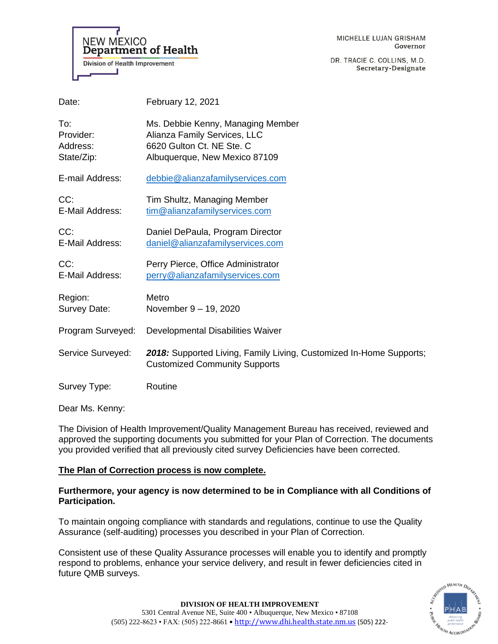

MICHELLE LUJAN GRISHAM Governor

DR. TRACIE C. COLLINS, M.D. Secretary-Designate

| Date:                                      | February 12, 2021                                                                                                               |
|--------------------------------------------|---------------------------------------------------------------------------------------------------------------------------------|
| To:<br>Provider:<br>Address:<br>State/Zip: | Ms. Debbie Kenny, Managing Member<br>Alianza Family Services, LLC<br>6620 Gulton Ct. NE Ste. C<br>Albuquerque, New Mexico 87109 |
| E-mail Address:                            | debbie@alianzafamilyservices.com                                                                                                |
| CC:<br>E-Mail Address:                     | Tim Shultz, Managing Member<br>tim@alianzafamilyservices.com                                                                    |
| CC:<br>E-Mail Address:                     | Daniel DePaula, Program Director<br>daniel@alianzafamilyservices.com                                                            |
| CC:<br>E-Mail Address:                     | Perry Pierce, Office Administrator<br>perry@alianzafamilyservices.com                                                           |
| Region:<br>Survey Date:                    | Metro<br>November 9 - 19, 2020                                                                                                  |
| Program Surveyed:                          | Developmental Disabilities Waiver                                                                                               |
| Service Surveyed:                          | 2018: Supported Living, Family Living, Customized In-Home Supports;<br><b>Customized Community Supports</b>                     |
| Survey Type:                               | Routine                                                                                                                         |
|                                            |                                                                                                                                 |

Dear Ms. Kenny:

The Division of Health Improvement/Quality Management Bureau has received, reviewed and approved the supporting documents you submitted for your Plan of Correction. The documents you provided verified that all previously cited survey Deficiencies have been corrected.

# **The Plan of Correction process is now complete.**

# **Furthermore, your agency is now determined to be in Compliance with all Conditions of Participation.**

To maintain ongoing compliance with standards and regulations, continue to use the Quality Assurance (self-auditing) processes you described in your Plan of Correction.

Consistent use of these Quality Assurance processes will enable you to identify and promptly respond to problems, enhance your service delivery, and result in fewer deficiencies cited in future QMB surveys.